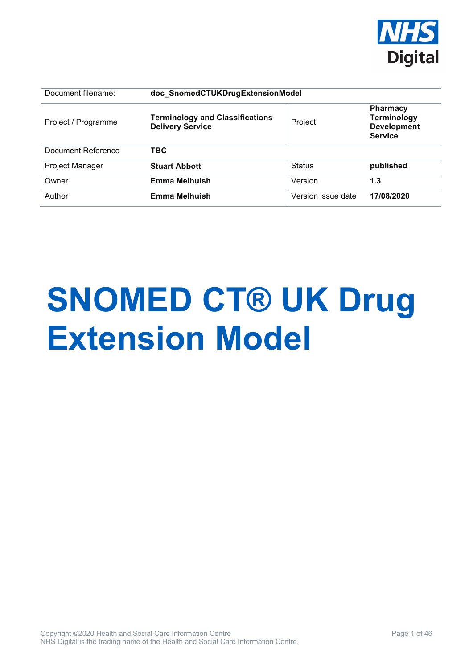

| Document filename:  | doc_SnomedCTUKDrugExtensionModel                                  |                    |                                                                               |  |
|---------------------|-------------------------------------------------------------------|--------------------|-------------------------------------------------------------------------------|--|
| Project / Programme | <b>Terminology and Classifications</b><br><b>Delivery Service</b> | Project            | <b>Pharmacy</b><br><b>Terminology</b><br><b>Development</b><br><b>Service</b> |  |
| Document Reference  | TBC                                                               |                    |                                                                               |  |
| Project Manager     | <b>Stuart Abbott</b>                                              | <b>Status</b>      | published                                                                     |  |
| Owner               | <b>Emma Melhuish</b>                                              | Version            | 1.3                                                                           |  |
| Author              | <b>Emma Melhuish</b>                                              | Version issue date | 17/08/2020                                                                    |  |

# **SNOMED CT® UK Drug Extension Model**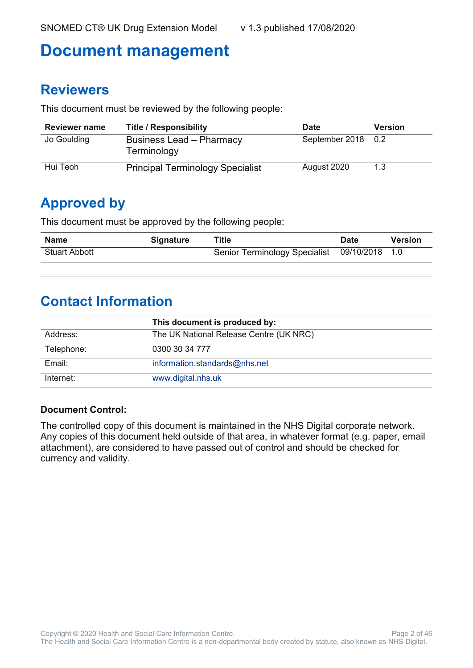# **Document management**

#### **Reviewers**

This document must be reviewed by the following people:

| <b>Reviewer name</b> | <b>Title / Responsibility</b>                  | <b>Date</b>        | <b>Version</b> |
|----------------------|------------------------------------------------|--------------------|----------------|
| Jo Goulding          | <b>Business Lead - Pharmacy</b><br>Terminology | September 2018 0.2 |                |
| Hui Teoh             | <b>Principal Terminology Specialist</b>        | August 2020        | 1.3            |

### **Approved by**

This document must be approved by the following people:

| Name                 | <b>Signature</b> | Title                                        | <b>Date</b> | <b>Version</b> |
|----------------------|------------------|----------------------------------------------|-------------|----------------|
| <b>Stuart Abbott</b> |                  | Senior Terminology Specialist 09/10/2018 1.0 |             |                |

#### **Contact Information**

|            | This document is produced by:           |
|------------|-----------------------------------------|
| Address:   | The UK National Release Centre (UK NRC) |
| Telephone: | 0300 30 34 777                          |
| Email:     | information.standards@nhs.net           |
| Internet:  | www.digital.nhs.uk                      |

#### **Document Control:**

The controlled copy of this document is maintained in the NHS Digital corporate network. Any copies of this document held outside of that area, in whatever format (e.g. paper, email attachment), are considered to have passed out of control and should be checked for currency and validity.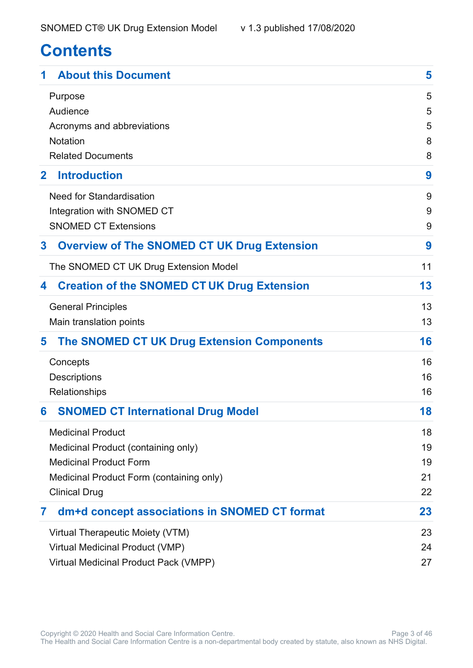# **Contents**

| <b>About this Document</b>                              | 5      |
|---------------------------------------------------------|--------|
| Purpose<br>Audience                                     | 5<br>5 |
| Acronyms and abbreviations                              | 5      |
| <b>Notation</b>                                         | 8      |
| <b>Related Documents</b>                                | 8      |
| <b>Introduction</b><br>$\mathbf{2}$                     | 9      |
| <b>Need for Standardisation</b>                         | 9      |
| Integration with SNOMED CT                              | 9      |
| <b>SNOMED CT Extensions</b>                             | 9      |
| <b>Overview of The SNOMED CT UK Drug Extension</b><br>3 | 9      |
| The SNOMED CT UK Drug Extension Model                   | 11     |
| <b>Creation of the SNOMED CT UK Drug Extension</b><br>4 | 13     |
| <b>General Principles</b>                               | 13     |
| Main translation points                                 | 13     |
| <b>The SNOMED CT UK Drug Extension Components</b><br>5  | 16     |
| Concepts                                                | 16     |
| <b>Descriptions</b>                                     | 16     |
| Relationships                                           | 16     |
| <b>SNOMED CT International Drug Model</b><br>6          | 18     |
| <b>Medicinal Product</b>                                | 18     |
| Medicinal Product (containing only)                     | 19     |
| <b>Medicinal Product Form</b>                           | 19     |
| Medicinal Product Form (containing only)                | 21     |
| <b>Clinical Drug</b>                                    | 22     |
| dm+d concept associations in SNOMED CT format<br>7      | 23     |
| Virtual Therapeutic Moiety (VTM)                        | 23     |
| Virtual Medicinal Product (VMP)                         | 24     |
| Virtual Medicinal Product Pack (VMPP)                   | 27     |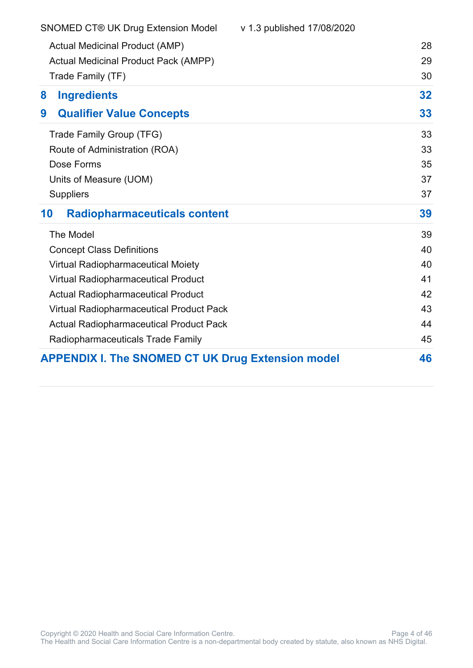| <b>SNOMED CT® UK Drug Extension Model</b>                | v 1.3 published 17/08/2020 |    |
|----------------------------------------------------------|----------------------------|----|
| <b>Actual Medicinal Product (AMP)</b>                    |                            | 28 |
| <b>Actual Medicinal Product Pack (AMPP)</b>              |                            | 29 |
| Trade Family (TF)                                        |                            | 30 |
| <b>Ingredients</b><br>8                                  |                            | 32 |
| <b>Qualifier Value Concepts</b><br>9                     |                            | 33 |
| Trade Family Group (TFG)                                 |                            | 33 |
| Route of Administration (ROA)                            |                            | 33 |
| Dose Forms                                               |                            | 35 |
| Units of Measure (UOM)                                   |                            | 37 |
| <b>Suppliers</b>                                         |                            | 37 |
| 10<br><b>Radiopharmaceuticals content</b>                |                            | 39 |
| The Model                                                |                            | 39 |
| <b>Concept Class Definitions</b>                         |                            | 40 |
| Virtual Radiopharmaceutical Moiety                       |                            | 40 |
| <b>Virtual Radiopharmaceutical Product</b>               |                            | 41 |
| <b>Actual Radiopharmaceutical Product</b>                |                            | 42 |
| <b>Virtual Radiopharmaceutical Product Pack</b>          |                            | 43 |
| <b>Actual Radiopharmaceutical Product Pack</b>           |                            | 44 |
| Radiopharmaceuticals Trade Family                        |                            | 45 |
| <b>APPENDIX I. The SNOMED CT UK Drug Extension model</b> |                            | 46 |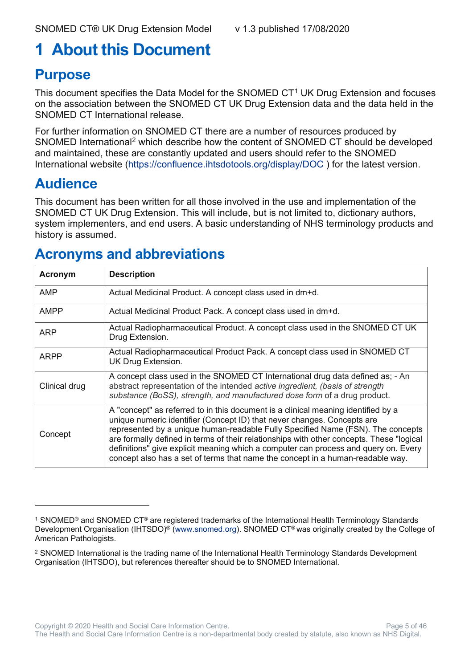# <span id="page-4-0"></span>**1 About this Document**

### <span id="page-4-1"></span>**Purpose**

This document specifies the Data Model for the SNOMED  $CT<sup>1</sup>$  $CT<sup>1</sup>$  $CT<sup>1</sup>$  UK Drug Extension and focuses on the association between the SNOMED CT UK Drug Extension data and the data held in the SNOMED CT International release.

For further information on SNOMED CT there are a number of resources produced by SNOMED International[2](#page-4-5) which describe how the content of SNOMED CT should be developed and maintained, these are constantly updated and users should refer to the SNOMED International website [\(https://confluence.ihtsdotools.org/display/DOC](https://confluence.ihtsdotools.org/display/DOC) ) for the latest version.

### <span id="page-4-2"></span>**Audience**

This document has been written for all those involved in the use and implementation of the SNOMED CT UK Drug Extension. This will include, but is not limited to, dictionary authors, system implementers, and end users. A basic understanding of NHS terminology products and history is assumed.

### <span id="page-4-3"></span>**Acronyms and abbreviations**

| Acronym       | <b>Description</b>                                                                                                                                                                                                                                                                                                                                                                                                                                                                                                   |
|---------------|----------------------------------------------------------------------------------------------------------------------------------------------------------------------------------------------------------------------------------------------------------------------------------------------------------------------------------------------------------------------------------------------------------------------------------------------------------------------------------------------------------------------|
| AMP           | Actual Medicinal Product. A concept class used in dm+d.                                                                                                                                                                                                                                                                                                                                                                                                                                                              |
| <b>AMPP</b>   | Actual Medicinal Product Pack. A concept class used in dm+d.                                                                                                                                                                                                                                                                                                                                                                                                                                                         |
| <b>ARP</b>    | Actual Radiopharmaceutical Product. A concept class used in the SNOMED CT UK<br>Drug Extension.                                                                                                                                                                                                                                                                                                                                                                                                                      |
| <b>ARPP</b>   | Actual Radiopharmaceutical Product Pack. A concept class used in SNOMED CT<br>UK Drug Extension.                                                                                                                                                                                                                                                                                                                                                                                                                     |
| Clinical drug | A concept class used in the SNOMED CT International drug data defined as; - An<br>abstract representation of the intended active ingredient, (basis of strength<br>substance (BoSS), strength, and manufactured dose form of a drug product.                                                                                                                                                                                                                                                                         |
| Concept       | A "concept" as referred to in this document is a clinical meaning identified by a<br>unique numeric identifier (Concept ID) that never changes. Concepts are<br>represented by a unique human-readable Fully Specified Name (FSN). The concepts<br>are formally defined in terms of their relationships with other concepts. These "logical<br>definitions" give explicit meaning which a computer can process and query on. Every<br>concept also has a set of terms that name the concept in a human-readable way. |

<span id="page-4-4"></span><sup>1</sup> SNOMED® and SNOMED CT® are registered trademarks of the International Health Terminology Standards Development Organisation (IHTSDO)® [\(www.snomed.org\)](http://www.snomed.org/). SNOMED CT® was originally created by the College of American Pathologists.

<span id="page-4-5"></span><sup>2</sup> SNOMED International is the trading name of the International Health Terminology Standards Development Organisation (IHTSDO), but references thereafter should be to SNOMED International.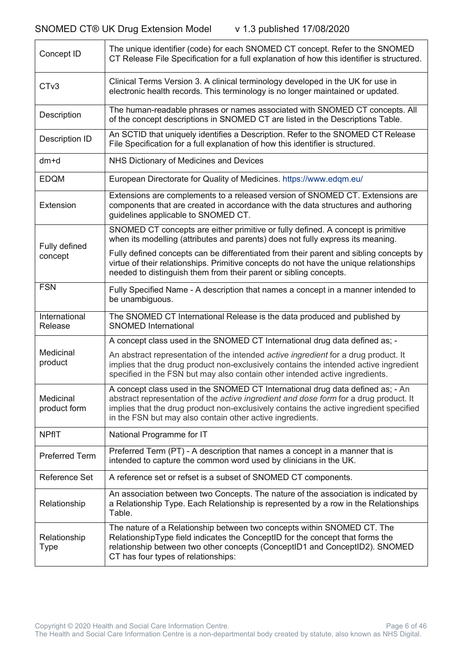| Concept ID                  | The unique identifier (code) for each SNOMED CT concept. Refer to the SNOMED<br>CT Release File Specification for a full explanation of how this identifier is structured.                                                                                                                                                            |
|-----------------------------|---------------------------------------------------------------------------------------------------------------------------------------------------------------------------------------------------------------------------------------------------------------------------------------------------------------------------------------|
| CT <sub>v3</sub>            | Clinical Terms Version 3. A clinical terminology developed in the UK for use in<br>electronic health records. This terminology is no longer maintained or updated.                                                                                                                                                                    |
| Description                 | The human-readable phrases or names associated with SNOMED CT concepts. All<br>of the concept descriptions in SNOMED CT are listed in the Descriptions Table.                                                                                                                                                                         |
| Description ID              | An SCTID that uniquely identifies a Description. Refer to the SNOMED CT Release<br>File Specification for a full explanation of how this identifier is structured.                                                                                                                                                                    |
| $dm+d$                      | NHS Dictionary of Medicines and Devices                                                                                                                                                                                                                                                                                               |
| <b>EDQM</b>                 | European Directorate for Quality of Medicines. https://www.edqm.eu/                                                                                                                                                                                                                                                                   |
| Extension                   | Extensions are complements to a released version of SNOMED CT. Extensions are<br>components that are created in accordance with the data structures and authoring<br>guidelines applicable to SNOMED CT.                                                                                                                              |
| Fully defined               | SNOMED CT concepts are either primitive or fully defined. A concept is primitive<br>when its modelling (attributes and parents) does not fully express its meaning.                                                                                                                                                                   |
| concept                     | Fully defined concepts can be differentiated from their parent and sibling concepts by<br>virtue of their relationships. Primitive concepts do not have the unique relationships<br>needed to distinguish them from their parent or sibling concepts.                                                                                 |
| <b>FSN</b>                  | Fully Specified Name - A description that names a concept in a manner intended to<br>be unambiguous.                                                                                                                                                                                                                                  |
| International<br>Release    | The SNOMED CT International Release is the data produced and published by<br><b>SNOMED International</b>                                                                                                                                                                                                                              |
|                             | A concept class used in the SNOMED CT International drug data defined as; -                                                                                                                                                                                                                                                           |
| Medicinal<br>product        | An abstract representation of the intended active ingredient for a drug product. It<br>implies that the drug product non-exclusively contains the intended active ingredient<br>specified in the FSN but may also contain other intended active ingredients.                                                                          |
| Medicinal<br>product form   | A concept class used in the SNOMED CT International drug data defined as; - An<br>abstract representation of the <i>active ingredient and dose form</i> for a drug product. It<br>implies that the drug product non-exclusively contains the active ingredient specified<br>in the FSN but may also contain other active ingredients. |
| <b>NPfIT</b>                | National Programme for IT                                                                                                                                                                                                                                                                                                             |
| <b>Preferred Term</b>       | Preferred Term (PT) - A description that names a concept in a manner that is<br>intended to capture the common word used by clinicians in the UK.                                                                                                                                                                                     |
| Reference Set               | A reference set or refset is a subset of SNOMED CT components.                                                                                                                                                                                                                                                                        |
| Relationship                | An association between two Concepts. The nature of the association is indicated by<br>a Relationship Type. Each Relationship is represented by a row in the Relationships<br>Table.                                                                                                                                                   |
| Relationship<br><b>Type</b> | The nature of a Relationship between two concepts within SNOMED CT. The<br>RelationshipType field indicates the ConceptID for the concept that forms the<br>relationship between two other concepts (ConceptID1 and ConceptID2). SNOMED<br>CT has four types of relationships:                                                        |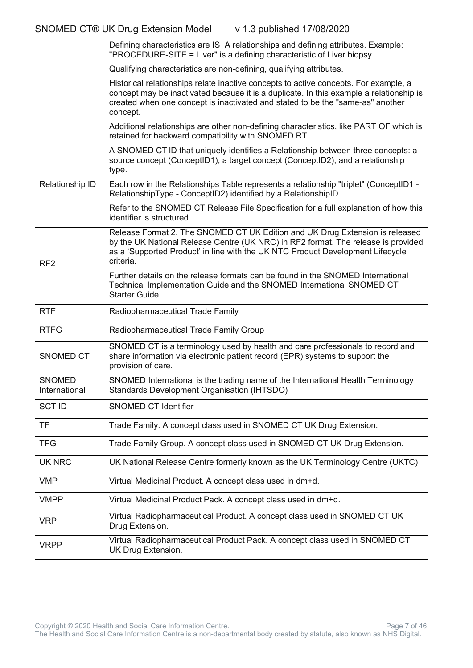|                                | Defining characteristics are IS A relationships and defining attributes. Example:<br>"PROCEDURE-SITE = Liver" is a defining characteristic of Liver biopsy.                                                                                                                   |
|--------------------------------|-------------------------------------------------------------------------------------------------------------------------------------------------------------------------------------------------------------------------------------------------------------------------------|
|                                | Qualifying characteristics are non-defining, qualifying attributes.                                                                                                                                                                                                           |
|                                | Historical relationships relate inactive concepts to active concepts. For example, a<br>concept may be inactivated because it is a duplicate. In this example a relationship is<br>created when one concept is inactivated and stated to be the "same-as" another<br>concept. |
|                                | Additional relationships are other non-defining characteristics, like PART OF which is<br>retained for backward compatibility with SNOMED RT.                                                                                                                                 |
|                                | A SNOMED CT ID that uniquely identifies a Relationship between three concepts: a<br>source concept (ConceptID1), a target concept (ConceptID2), and a relationship<br>type.                                                                                                   |
| Relationship ID                | Each row in the Relationships Table represents a relationship "triplet" (ConceptID1 -<br>RelationshipType - ConceptID2) identified by a RelationshipID.                                                                                                                       |
|                                | Refer to the SNOMED CT Release File Specification for a full explanation of how this<br>identifier is structured.                                                                                                                                                             |
| RF <sub>2</sub>                | Release Format 2. The SNOMED CT UK Edition and UK Drug Extension is released<br>by the UK National Release Centre (UK NRC) in RF2 format. The release is provided<br>as a 'Supported Product' in line with the UK NTC Product Development Lifecycle<br>criteria.              |
|                                | Further details on the release formats can be found in the SNOMED International<br>Technical Implementation Guide and the SNOMED International SNOMED CT<br>Starter Guide.                                                                                                    |
| <b>RTF</b>                     | Radiopharmaceutical Trade Family                                                                                                                                                                                                                                              |
| <b>RTFG</b>                    | Radiopharmaceutical Trade Family Group                                                                                                                                                                                                                                        |
| SNOMED CT                      | SNOMED CT is a terminology used by health and care professionals to record and<br>share information via electronic patient record (EPR) systems to support the<br>provision of care.                                                                                          |
| <b>SNOMED</b><br>International | SNOMED International is the trading name of the International Health Terminology<br>Standards Development Organisation (IHTSDO)                                                                                                                                               |
| <b>SCT ID</b>                  | SNOMED CT Identifier                                                                                                                                                                                                                                                          |
| <b>TF</b>                      | Trade Family. A concept class used in SNOMED CT UK Drug Extension.                                                                                                                                                                                                            |
| <b>TFG</b>                     | Trade Family Group. A concept class used in SNOMED CT UK Drug Extension.                                                                                                                                                                                                      |
| <b>UK NRC</b>                  | UK National Release Centre formerly known as the UK Terminology Centre (UKTC)                                                                                                                                                                                                 |
| <b>VMP</b>                     | Virtual Medicinal Product. A concept class used in dm+d.                                                                                                                                                                                                                      |
| <b>VMPP</b>                    | Virtual Medicinal Product Pack. A concept class used in dm+d.                                                                                                                                                                                                                 |
| <b>VRP</b>                     | Virtual Radiopharmaceutical Product. A concept class used in SNOMED CT UK<br>Drug Extension.                                                                                                                                                                                  |
| <b>VRPP</b>                    | Virtual Radiopharmaceutical Product Pack. A concept class used in SNOMED CT<br>UK Drug Extension.                                                                                                                                                                             |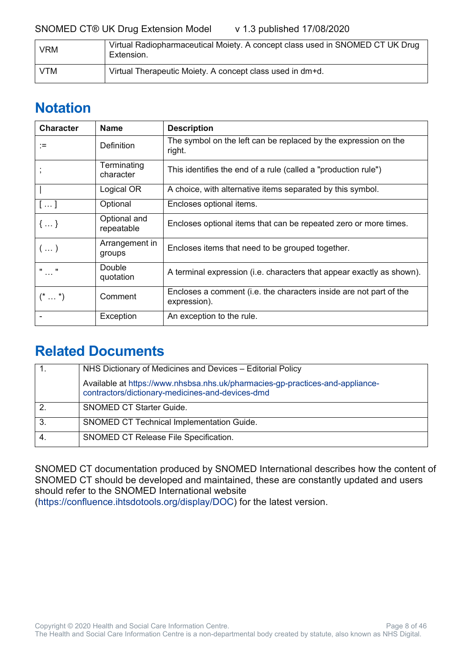#### SNOMED CT® UK Drug Extension Model v 1.3 published 17/08/2020

| <b>VRM</b> | Virtual Radiopharmaceutical Moiety. A concept class used in SNOMED CT UK Drug<br>Extension. |
|------------|---------------------------------------------------------------------------------------------|
| VTM        | Virtual Therapeutic Moiety. A concept class used in dm+d.                                   |

### <span id="page-7-0"></span>**Notation**

| <b>Character</b>       | <b>Name</b>                | <b>Description</b>                                                                 |
|------------------------|----------------------------|------------------------------------------------------------------------------------|
| ∶≔                     | <b>Definition</b>          | The symbol on the left can be replaced by the expression on the<br>right.          |
|                        | Terminating<br>character   | This identifies the end of a rule (called a "production rule")                     |
|                        | Logical OR                 | A choice, with alternative items separated by this symbol.                         |
| []                     | Optional                   | Encloses optional items.                                                           |
| $\{ \}$                | Optional and<br>repeatable | Encloses optional items that can be repeated zero or more times.                   |
| $\left( \dots \right)$ | Arrangement in<br>groups   | Encloses items that need to be grouped together.                                   |
| $\mathbf{u}$           | Double<br>quotation        | A terminal expression (i.e. characters that appear exactly as shown).              |
| $(* \dots *)$          | Comment                    | Encloses a comment (i.e. the characters inside are not part of the<br>expression). |
|                        | Exception                  | An exception to the rule.                                                          |

#### <span id="page-7-1"></span>**Related Documents**

|    | NHS Dictionary of Medicines and Devices - Editorial Policy                                                                        |
|----|-----------------------------------------------------------------------------------------------------------------------------------|
|    | Available at https://www.nhsbsa.nhs.uk/pharmacies-gp-practices-and-appliance-<br>contractors/dictionary-medicines-and-devices-dmd |
|    | <b>SNOMED CT Starter Guide.</b>                                                                                                   |
| 3. | SNOMED CT Technical Implementation Guide.                                                                                         |
|    | SNOMED CT Release File Specification.                                                                                             |

SNOMED CT documentation produced by SNOMED International describes how the content of SNOMED CT should be developed and maintained, these are constantly updated and users should refer to the SNOMED International website [\(https://confluence.ihtsdotools.org/display/DOC\)](https://confluence.ihtsdotools.org/display/DOC) for the latest version.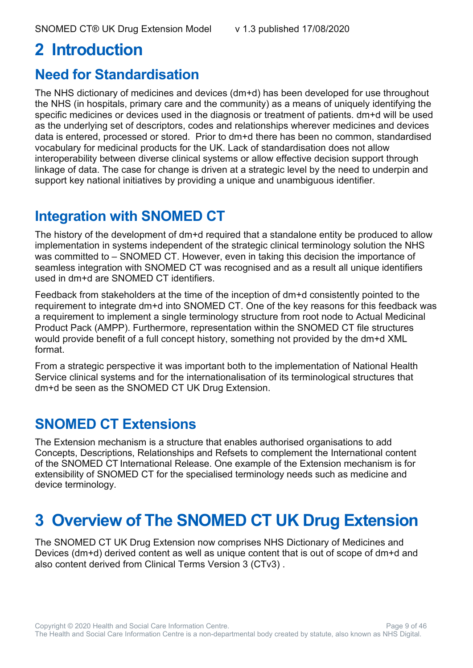# <span id="page-8-0"></span>**2 Introduction**

#### <span id="page-8-1"></span>**Need for Standardisation**

The NHS dictionary of medicines and devices (dm+d) has been developed for use throughout the NHS (in hospitals, primary care and the community) as a means of uniquely identifying the specific medicines or devices used in the diagnosis or treatment of patients. dm+d will be used as the underlying set of descriptors, codes and relationships wherever medicines and devices data is entered, processed or stored. Prior to dm+d there has been no common, standardised vocabulary for medicinal products for the UK. Lack of standardisation does not allow interoperability between diverse clinical systems or allow effective decision support through linkage of data. The case for change is driven at a strategic level by the need to underpin and support key national initiatives by providing a unique and unambiguous identifier.

### <span id="page-8-2"></span>**Integration with SNOMED CT**

The history of the development of dm+d required that a standalone entity be produced to allow implementation in systems independent of the strategic clinical terminology solution the NHS was committed to – SNOMED CT. However, even in taking this decision the importance of seamless integration with SNOMED CT was recognised and as a result all unique identifiers used in dm+d are SNOMED CT identifiers.

Feedback from stakeholders at the time of the inception of dm+d consistently pointed to the requirement to integrate dm+d into SNOMED CT. One of the key reasons for this feedback was a requirement to implement a single terminology structure from root node to Actual Medicinal Product Pack (AMPP). Furthermore, representation within the SNOMED CT file structures would provide benefit of a full concept history, something not provided by the dm+d XML format.

From a strategic perspective it was important both to the implementation of National Health Service clinical systems and for the internationalisation of its terminological structures that dm+d be seen as the SNOMED CT UK Drug Extension.

### <span id="page-8-3"></span>**SNOMED CT Extensions**

The Extension mechanism is a structure that enables authorised organisations to add Concepts, Descriptions, Relationships and Refsets to complement the International content of the SNOMED CT International Release. One example of the Extension mechanism is for extensibility of SNOMED CT for the specialised terminology needs such as medicine and device terminology.

# <span id="page-8-4"></span>**3 Overview of The SNOMED CT UK Drug Extension**

The SNOMED CT UK Drug Extension now comprises NHS Dictionary of Medicines and Devices (dm+d) derived content as well as unique content that is out of scope of dm+d and also content derived from Clinical Terms Version 3 (CTv3) .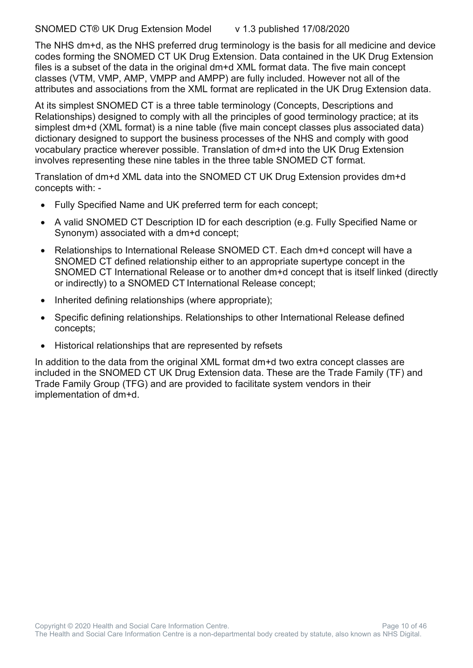SNOMED CT® UK Drug Extension Model v 1.3 published 17/08/2020

The NHS dm+d, as the NHS preferred drug terminology is the basis for all medicine and device codes forming the SNOMED CT UK Drug Extension. Data contained in the UK Drug Extension files is a subset of the data in the original dm+d XML format data. The five main concept classes (VTM, VMP, AMP, VMPP and AMPP) are fully included. However not all of the attributes and associations from the XML format are replicated in the UK Drug Extension data.

At its simplest SNOMED CT is a three table terminology (Concepts, Descriptions and Relationships) designed to comply with all the principles of good terminology practice; at its simplest dm+d (XML format) is a nine table (five main concept classes plus associated data) dictionary designed to support the business processes of the NHS and comply with good vocabulary practice wherever possible. Translation of dm+d into the UK Drug Extension involves representing these nine tables in the three table SNOMED CT format.

Translation of dm+d XML data into the SNOMED CT UK Drug Extension provides dm+d concepts with: -

- Fully Specified Name and UK preferred term for each concept;
- A valid SNOMED CT Description ID for each description (e.g. Fully Specified Name or Synonym) associated with a dm+d concept;
- Relationships to International Release SNOMED CT. Each dm+d concept will have a SNOMED CT defined relationship either to an appropriate supertype concept in the SNOMED CT International Release or to another dm+d concept that is itself linked (directly or indirectly) to a SNOMED CT International Release concept;
- Inherited defining relationships (where appropriate);
- Specific defining relationships. Relationships to other International Release defined concepts;
- Historical relationships that are represented by refsets

In addition to the data from the original XML format dm+d two extra concept classes are included in the SNOMED CT UK Drug Extension data. These are the Trade Family (TF) and Trade Family Group (TFG) and are provided to facilitate system vendors in their implementation of dm+d.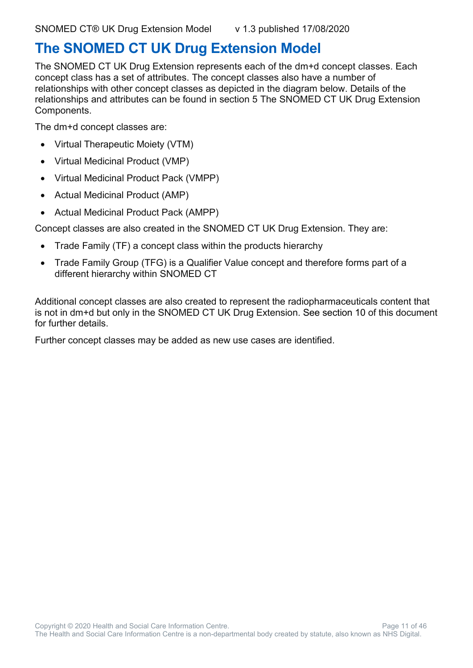### <span id="page-10-0"></span>**The SNOMED CT UK Drug Extension Model**

The SNOMED CT UK Drug Extension represents each of the dm+d concept classes. Each concept class has a set of attributes. The concept classes also have a number of relationships with other concept classes as depicted in the diagram below. Details of the relationships and attributes can be found in section 5 The SNOMED CT UK Drug Extension Components.

The dm+d concept classes are:

- Virtual Therapeutic Moiety (VTM)
- Virtual Medicinal Product (VMP)
- Virtual Medicinal Product Pack (VMPP)
- Actual Medicinal Product (AMP)
- Actual Medicinal Product Pack (AMPP)

Concept classes are also created in the SNOMED CT UK Drug Extension. They are:

- Trade Family (TF) a concept class within the products hierarchy
- Trade Family Group (TFG) is a Qualifier Value concept and therefore forms part of a different hierarchy within SNOMED CT

Additional concept classes are also created to represent the radiopharmaceuticals content that is not in dm+d but only in the SNOMED CT UK Drug Extension. See section 10 of this document for further details.

Further concept classes may be added as new use cases are identified.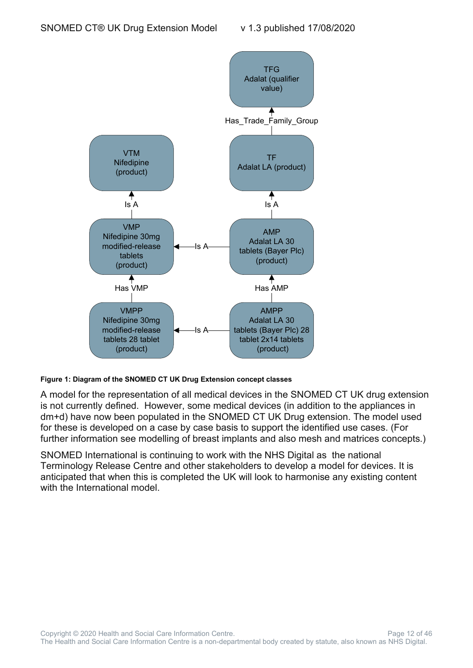

**Figure 1: Diagram of the SNOMED CT UK Drug Extension concept classes**

A model for the representation of all medical devices in the SNOMED CT UK drug extension is not currently defined. However, some medical devices (in addition to the appliances in dm+d) have now been populated in the SNOMED CT UK Drug extension. The model used for these is developed on a case by case basis to support the identified use cases. (For further information see modelling of breast implants and also mesh and matrices concepts.)

SNOMED International is continuing to work with the NHS Digital as the national Terminology Release Centre and other stakeholders to develop a model for devices. It is anticipated that when this is completed the UK will look to harmonise any existing content with the International model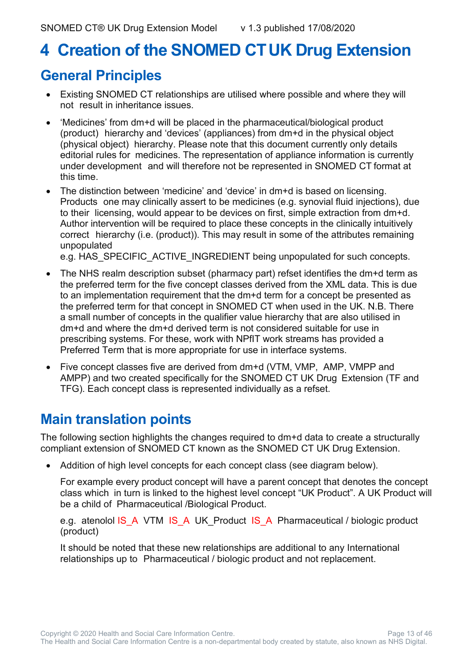# <span id="page-12-0"></span>**4 Creation of the SNOMED CTUK Drug Extension**

### <span id="page-12-1"></span>**General Principles**

- Existing SNOMED CT relationships are utilised where possible and where they will not result in inheritance issues.
- 'Medicines' from dm+d will be placed in the pharmaceutical/biological product (product) hierarchy and 'devices' (appliances) from dm+d in the physical object (physical object) hierarchy. Please note that this document currently only details editorial rules for medicines. The representation of appliance information is currently under development and will therefore not be represented in SNOMED CT format at this time.
- The distinction between 'medicine' and 'device' in dm+d is based on licensing. Products one may clinically assert to be medicines (e.g. synovial fluid injections), due to their licensing, would appear to be devices on first, simple extraction from dm+d. Author intervention will be required to place these concepts in the clinically intuitively correct hierarchy (i.e. (product)). This may result in some of the attributes remaining unpopulated

e.g. HAS SPECIFIC ACTIVE INGREDIENT being unpopulated for such concepts.

- The NHS realm description subset (pharmacy part) refset identifies the dm+d term as the preferred term for the five concept classes derived from the XML data. This is due to an implementation requirement that the dm+d term for a concept be presented as the preferred term for that concept in SNOMED CT when used in the UK. N.B. There a small number of concepts in the qualifier value hierarchy that are also utilised in dm+d and where the dm+d derived term is not considered suitable for use in prescribing systems. For these, work with NPfIT work streams has provided a Preferred Term that is more appropriate for use in interface systems.
- Five concept classes five are derived from dm+d (VTM, VMP, AMP, VMPP and AMPP) and two created specifically for the SNOMED CT UK Drug Extension (TF and TFG). Each concept class is represented individually as a refset.

### <span id="page-12-2"></span>**Main translation points**

The following section highlights the changes required to dm+d data to create a structurally compliant extension of SNOMED CT known as the SNOMED CT UK Drug Extension.

• Addition of high level concepts for each concept class (see diagram below).

For example every product concept will have a parent concept that denotes the concept class which in turn is linked to the highest level concept "UK Product". A UK Product will be a child of Pharmaceutical /Biological Product.

e.g. atenolol IS\_A VTM IS\_A UK\_Product IS\_A Pharmaceutical / biologic product (product)

It should be noted that these new relationships are additional to any International relationships up to Pharmaceutical / biologic product and not replacement.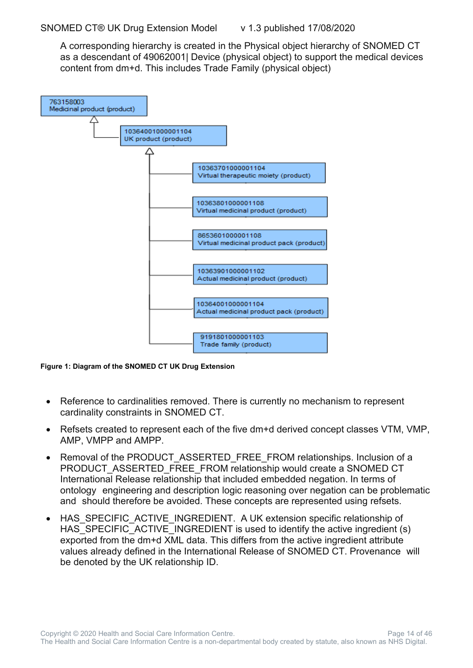A corresponding hierarchy is created in the Physical object hierarchy of SNOMED CT as a descendant of 49062001| Device (physical object) to support the medical devices content from dm+d. This includes Trade Family (physical object)



**Figure 1: Diagram of the SNOMED CT UK Drug Extension**

- Reference to cardinalities removed. There is currently no mechanism to represent cardinality constraints in SNOMED CT.
- Refsets created to represent each of the five dm+d derived concept classes VTM, VMP, AMP, VMPP and AMPP.
- Removal of the PRODUCT ASSERTED FREE\_FROM relationships. Inclusion of a PRODUCT\_ASSERTED\_FREE\_FROM relationship would create a SNOMED CT International Release relationship that included embedded negation. In terms of ontology engineering and description logic reasoning over negation can be problematic and should therefore be avoided. These concepts are represented using refsets.
- HAS SPECIFIC ACTIVE INGREDIENT. A UK extension specific relationship of HAS SPECIFIC ACTIVE INGREDIENT is used to identify the active ingredient (s) exported from the dm+d XML data. This differs from the active ingredient attribute values already defined in the International Release of SNOMED CT. Provenance will be denoted by the UK relationship ID.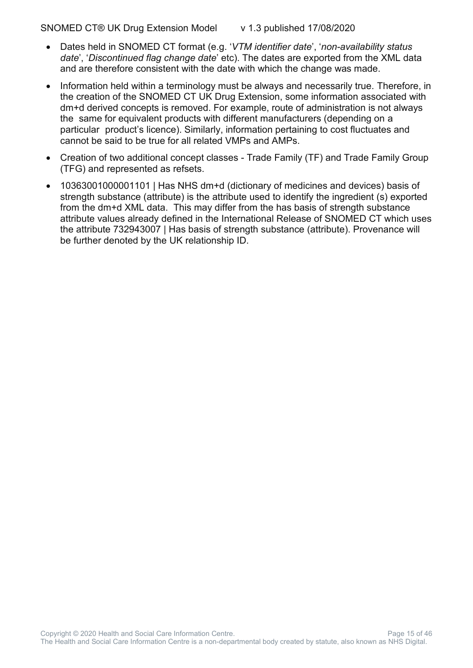- 
- Dates held in SNOMED CT format (e.g. '*VTM identifier date*', '*non-availability status date*', '*Discontinued flag change date*' etc). The dates are exported from the XML data and are therefore consistent with the date with which the change was made.
- Information held within a terminology must be always and necessarily true. Therefore, in the creation of the SNOMED CT UK Drug Extension, some information associated with dm+d derived concepts is removed. For example, route of administration is not always the same for equivalent products with different manufacturers (depending on a particular product's licence). Similarly, information pertaining to cost fluctuates and cannot be said to be true for all related VMPs and AMPs.
- Creation of two additional concept classes Trade Family (TF) and Trade Family Group (TFG) and represented as refsets.
- 10363001000001101 | Has NHS dm+d (dictionary of medicines and devices) basis of strength substance (attribute) is the attribute used to identify the ingredient (s) exported from the dm+d XML data. This may differ from the has basis of strength substance attribute values already defined in the International Release of SNOMED CT which uses the attribute 732943007 | Has basis of strength substance (attribute). Provenance will be further denoted by the UK relationship ID.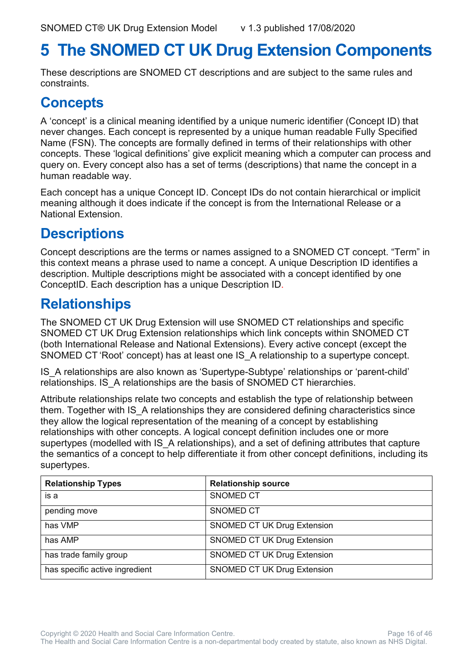# <span id="page-15-0"></span>**5 The SNOMED CT UK Drug Extension Components**

These descriptions are SNOMED CT descriptions and are subject to the same rules and constraints.

#### <span id="page-15-1"></span>**Concepts**

A 'concept' is a clinical meaning identified by a unique numeric identifier (Concept ID) that never changes. Each concept is represented by a unique human readable Fully Specified Name (FSN). The concepts are formally defined in terms of their relationships with other concepts. These 'logical definitions' give explicit meaning which a computer can process and query on. Every concept also has a set of terms (descriptions) that name the concept in a human readable way.

Each concept has a unique Concept ID. Concept IDs do not contain hierarchical or implicit meaning although it does indicate if the concept is from the International Release or a National Extension.

### <span id="page-15-2"></span>**Descriptions**

Concept descriptions are the terms or names assigned to a SNOMED CT concept. "Term" in this context means a phrase used to name a concept. A unique Description ID identifies a description. Multiple descriptions might be associated with a concept identified by one ConceptID. Each description has a unique Description ID.

#### <span id="page-15-3"></span>**Relationships**

The SNOMED CT UK Drug Extension will use SNOMED CT relationships and specific SNOMED CT UK Drug Extension relationships which link concepts within SNOMED CT (both International Release and National Extensions). Every active concept (except the SNOMED CT 'Root' concept) has at least one IS\_A relationship to a supertype concept.

IS\_A relationships are also known as 'Supertype-Subtype' relationships or 'parent-child' relationships. IS\_A relationships are the basis of SNOMED CT hierarchies.

Attribute relationships relate two concepts and establish the type of relationship between them. Together with IS A relationships they are considered defining characteristics since they allow the logical representation of the meaning of a concept by establishing relationships with other concepts. A logical concept definition includes one or more supertypes (modelled with IS A relationships), and a set of defining attributes that capture the semantics of a concept to help differentiate it from other concept definitions, including its supertypes.

| <b>Relationship Types</b>      | <b>Relationship source</b>         |
|--------------------------------|------------------------------------|
| is a                           | <b>SNOMED CT</b>                   |
| pending move                   | <b>SNOMED CT</b>                   |
| has VMP                        | <b>SNOMED CT UK Drug Extension</b> |
| has AMP                        | <b>SNOMED CT UK Drug Extension</b> |
| has trade family group         | <b>SNOMED CT UK Drug Extension</b> |
| has specific active ingredient | <b>SNOMED CT UK Drug Extension</b> |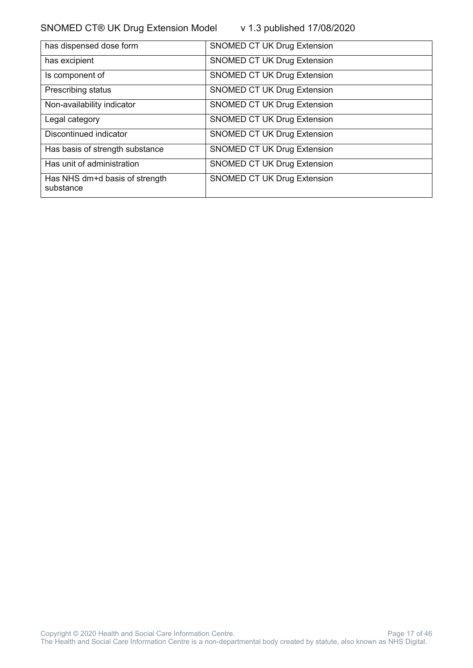SNOMED CT® UK Drug Extension Model v 1.3 published 17/08/2020

| has dispensed dose form                     | <b>SNOMED CT UK Drug Extension</b> |
|---------------------------------------------|------------------------------------|
| has excipient                               | <b>SNOMED CT UK Drug Extension</b> |
| Is component of                             | <b>SNOMED CT UK Drug Extension</b> |
| Prescribing status                          | <b>SNOMED CT UK Drug Extension</b> |
| Non-availability indicator                  | <b>SNOMED CT UK Drug Extension</b> |
| Legal category                              | <b>SNOMED CT UK Drug Extension</b> |
| Discontinued indicator                      | <b>SNOMED CT UK Drug Extension</b> |
| Has basis of strength substance             | <b>SNOMED CT UK Drug Extension</b> |
| Has unit of administration                  | <b>SNOMED CT UK Drug Extension</b> |
| Has NHS dm+d basis of strength<br>substance | <b>SNOMED CT UK Drug Extension</b> |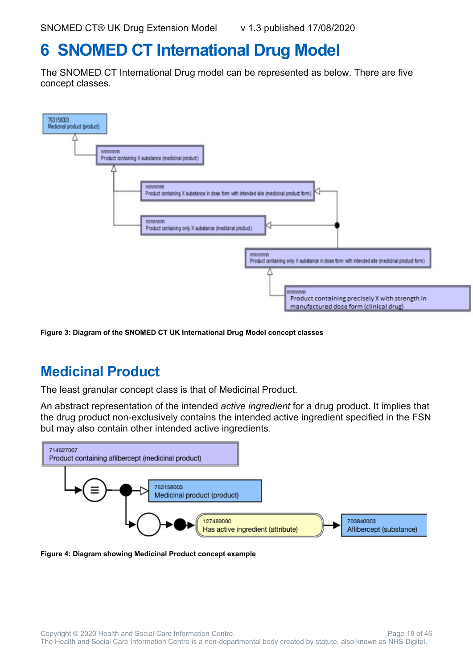# <span id="page-17-0"></span>**6 SNOMED CT International Drug Model**

The SNOMED CT International Drug model can be represented as below. There are five concept classes.



**Figure 3: Diagram of the SNOMED CT UK International Drug Model concept classes**

### <span id="page-17-1"></span>**Medicinal Product**

The least granular concept class is that of Medicinal Product.

An abstract representation of the intended *active ingredient* for a drug product. It implies that the drug product non-exclusively contains the intended active ingredient specified in the FSN but may also contain other intended active ingredients.



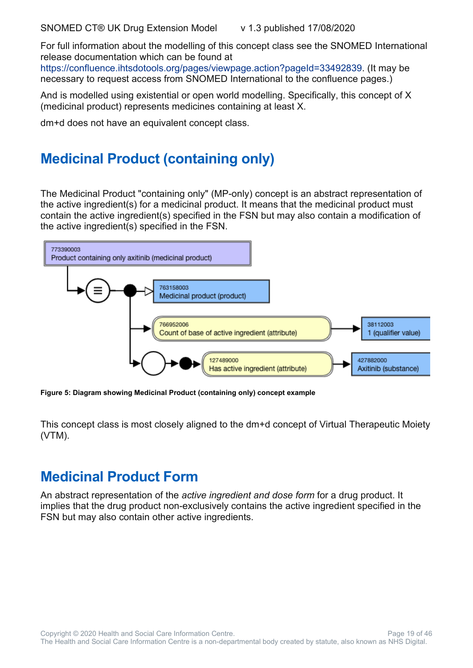For full information about the modelling of this concept class see the SNOMED International release documentation which can be found at [https://confluence.ihtsdotools.org/pages/viewpage.action?pageId=33492839.](https://confluence.ihtsdotools.org/pages/viewpage.action?pageId=33492839) (It may be

necessary to request access from SNOMED International to the confluence pages.)

And is modelled using existential or open world modelling. Specifically, this concept of X (medicinal product) represents medicines containing at least X.

dm+d does not have an equivalent concept class.

### <span id="page-18-0"></span>**Medicinal Product (containing only)**

The Medicinal Product "containing only" (MP-only) concept is an abstract representation of the active ingredient(s) for a medicinal product. It means that the medicinal product must contain the active ingredient(s) specified in the FSN but may also contain a modification of the active ingredient(s) specified in the FSN.



**Figure 5: Diagram showing Medicinal Product (containing only) concept example**

This concept class is most closely aligned to the dm+d concept of Virtual Therapeutic Moiety (VTM).

#### <span id="page-18-1"></span>**Medicinal Product Form**

An abstract representation of the *active ingredient and dose form* for a drug product. It implies that the drug product non-exclusively contains the active ingredient specified in the FSN but may also contain other active ingredients.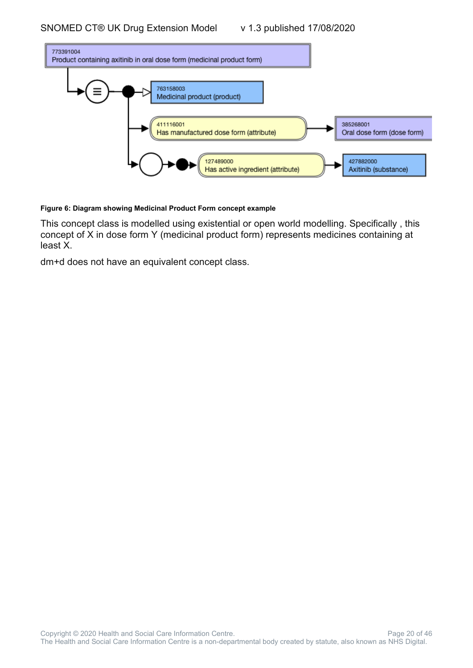

#### **Figure 6: Diagram showing Medicinal Product Form concept example**

This concept class is modelled using existential or open world modelling. Specifically , this concept of X in dose form Y (medicinal product form) represents medicines containing at least X.

dm+d does not have an equivalent concept class.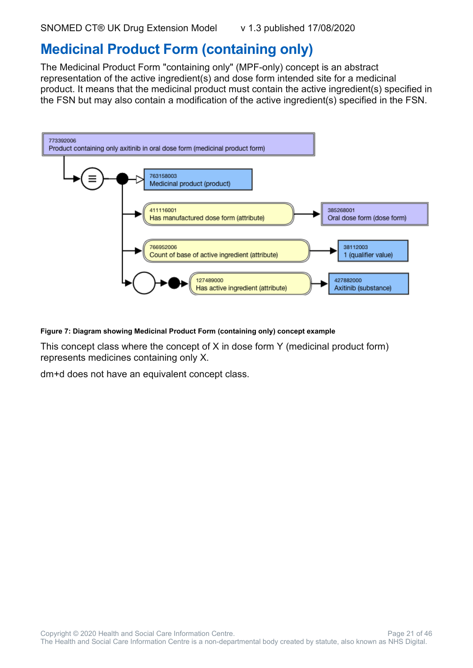#### <span id="page-20-0"></span>**Medicinal Product Form (containing only)**

The Medicinal Product Form "containing only" (MPF-only) concept is an abstract representation of the active ingredient(s) and dose form intended site for a medicinal product. It means that the medicinal product must contain the active ingredient(s) specified in the FSN but may also contain a modification of the active ingredient(s) specified in the FSN.



**Figure 7: Diagram showing Medicinal Product Form (containing only) concept example**

This concept class where the concept of X in dose form Y (medicinal product form) represents medicines containing only X.

dm+d does not have an equivalent concept class.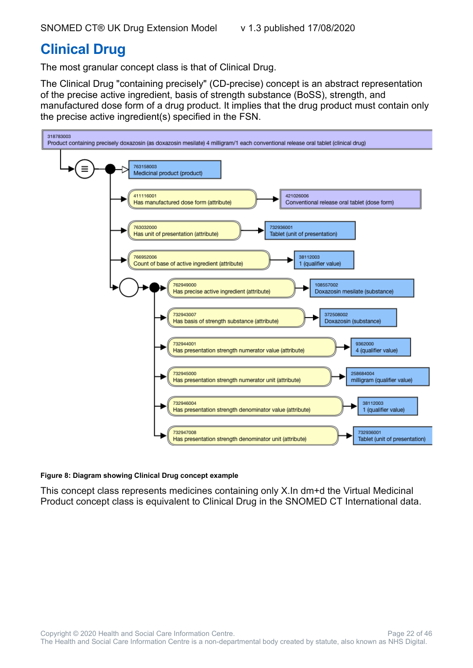### <span id="page-21-0"></span>**Clinical Drug**

The most granular concept class is that of Clinical Drug.

The Clinical Drug "containing precisely" (CD-precise) concept is an abstract representation of the precise active ingredient, basis of strength substance (BoSS), strength, and manufactured dose form of a drug product. It implies that the drug product must contain only the precise active ingredient(s) specified in the FSN.



#### **Figure 8: Diagram showing Clinical Drug concept example**

This concept class represents medicines containing only X.In dm+d the Virtual Medicinal Product concept class is equivalent to Clinical Drug in the SNOMED CT International data.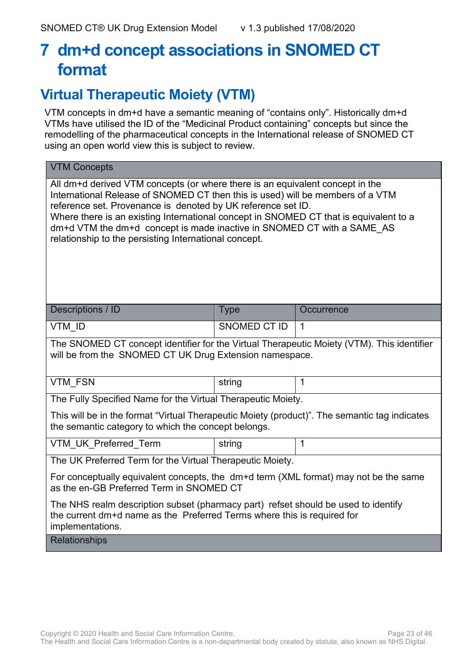# <span id="page-22-0"></span>**7 dm+d concept associations in SNOMED CT format**

#### <span id="page-22-1"></span>**Virtual Therapeutic Moiety (VTM)**

VTM concepts in dm+d have a semantic meaning of "contains only". Historically dm+d VTMs have utilised the ID of the "Medicinal Product containing" concepts but since the remodelling of the pharmaceutical concepts in the International release of SNOMED CT using an open world view this is subject to review.

| <b>VTM Concepts</b>                                                                                                                                                                                                                                                                                                                                                                                                                                         |                     |              |  |
|-------------------------------------------------------------------------------------------------------------------------------------------------------------------------------------------------------------------------------------------------------------------------------------------------------------------------------------------------------------------------------------------------------------------------------------------------------------|---------------------|--------------|--|
| All dm+d derived VTM concepts (or where there is an equivalent concept in the<br>International Release of SNOMED CT then this is used) will be members of a VTM<br>reference set. Provenance is denoted by UK reference set ID.<br>Where there is an existing International concept in SNOMED CT that is equivalent to a<br>dm+d VTM the dm+d concept is made inactive in SNOMED CT with a SAME_AS<br>relationship to the persisting International concept. |                     |              |  |
| Descriptions / ID                                                                                                                                                                                                                                                                                                                                                                                                                                           | <b>Type</b>         | Occurrence   |  |
| VTM ID                                                                                                                                                                                                                                                                                                                                                                                                                                                      | <b>SNOMED CT ID</b> | $\mathbf{1}$ |  |
| The SNOMED CT concept identifier for the Virtual Therapeutic Moiety (VTM). This identifier<br>will be from the SNOMED CT UK Drug Extension namespace.                                                                                                                                                                                                                                                                                                       |                     |              |  |
| <b>VTM FSN</b>                                                                                                                                                                                                                                                                                                                                                                                                                                              | string              | 1            |  |
| The Fully Specified Name for the Virtual Therapeutic Moiety.                                                                                                                                                                                                                                                                                                                                                                                                |                     |              |  |
| This will be in the format "Virtual Therapeutic Moiety (product)". The semantic tag indicates<br>the semantic category to which the concept belongs.                                                                                                                                                                                                                                                                                                        |                     |              |  |
| VTM UK Preferred Term                                                                                                                                                                                                                                                                                                                                                                                                                                       | string              | 1            |  |
| The UK Preferred Term for the Virtual Therapeutic Moiety.                                                                                                                                                                                                                                                                                                                                                                                                   |                     |              |  |
| For conceptually equivalent concepts, the dm+d term (XML format) may not be the same<br>as the en-GB Preferred Term in SNOMED CT                                                                                                                                                                                                                                                                                                                            |                     |              |  |
| The NHS realm description subset (pharmacy part) refset should be used to identify<br>the current dm+d name as the Preferred Terms where this is required for<br>implementations.                                                                                                                                                                                                                                                                           |                     |              |  |
| <b>Relationships</b>                                                                                                                                                                                                                                                                                                                                                                                                                                        |                     |              |  |

Copyright © 2020 Health and Social Care Information Centre. The example of the Page 23 of 46 The Health and Social Care Information Centre is a non-departmental body created by statute, also known as NHS Digital.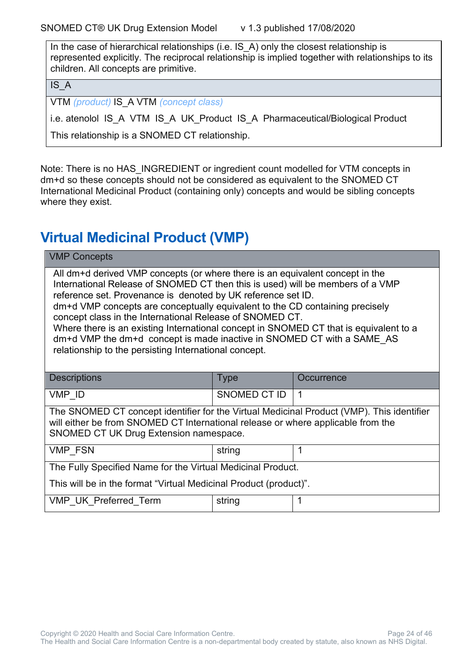In the case of hierarchical relationships (i.e. IS\_A) only the closest relationship is represented explicitly. The reciprocal relationship is implied together with relationships to its children. All concepts are primitive.

IS\_A

VTM *(product)* IS\_A VTM *(concept class)*

i.e. atenolol IS\_A VTM IS\_A UK\_Product IS\_A Pharmaceutical/Biological Product

This relationship is a SNOMED CT relationship.

Note: There is no HAS\_INGREDIENT or ingredient count modelled for VTM concepts in dm+d so these concepts should not be considered as equivalent to the SNOMED CT International Medicinal Product (containing only) concepts and would be sibling concepts where they exist.

### <span id="page-23-0"></span>**Virtual Medicinal Product (VMP)**

| <b>VMP Concepts</b>                                                                                                                                                                                                                                                                                                                                                                                                                                                                                                                                                                                     |                    |  |  |  |
|---------------------------------------------------------------------------------------------------------------------------------------------------------------------------------------------------------------------------------------------------------------------------------------------------------------------------------------------------------------------------------------------------------------------------------------------------------------------------------------------------------------------------------------------------------------------------------------------------------|--------------------|--|--|--|
| All dm+d derived VMP concepts (or where there is an equivalent concept in the<br>International Release of SNOMED CT then this is used) will be members of a VMP<br>reference set. Provenance is denoted by UK reference set ID.<br>dm+d VMP concepts are conceptually equivalent to the CD containing precisely<br>concept class in the International Release of SNOMED CT.<br>Where there is an existing International concept in SNOMED CT that is equivalent to a<br>dm+d VMP the dm+d concept is made inactive in SNOMED CT with a SAME AS<br>relationship to the persisting International concept. |                    |  |  |  |
| <b>Descriptions</b>                                                                                                                                                                                                                                                                                                                                                                                                                                                                                                                                                                                     | Type<br>Occurrence |  |  |  |
| SNOMED CT ID<br>VMP ID<br>$\mathbf 1$                                                                                                                                                                                                                                                                                                                                                                                                                                                                                                                                                                   |                    |  |  |  |
| The SNOMED CT concept identifier for the Virtual Medicinal Product (VMP). This identifier<br>will either be from SNOMED CT International release or where applicable from the<br>SNOMED CT UK Drug Extension namespace.                                                                                                                                                                                                                                                                                                                                                                                 |                    |  |  |  |
| <b>VMP FSN</b><br>1<br>string                                                                                                                                                                                                                                                                                                                                                                                                                                                                                                                                                                           |                    |  |  |  |
| The Fully Specified Name for the Virtual Medicinal Product.                                                                                                                                                                                                                                                                                                                                                                                                                                                                                                                                             |                    |  |  |  |
| This will be in the format "Virtual Medicinal Product (product)".                                                                                                                                                                                                                                                                                                                                                                                                                                                                                                                                       |                    |  |  |  |
| VMP UK Preferred Term<br>string                                                                                                                                                                                                                                                                                                                                                                                                                                                                                                                                                                         |                    |  |  |  |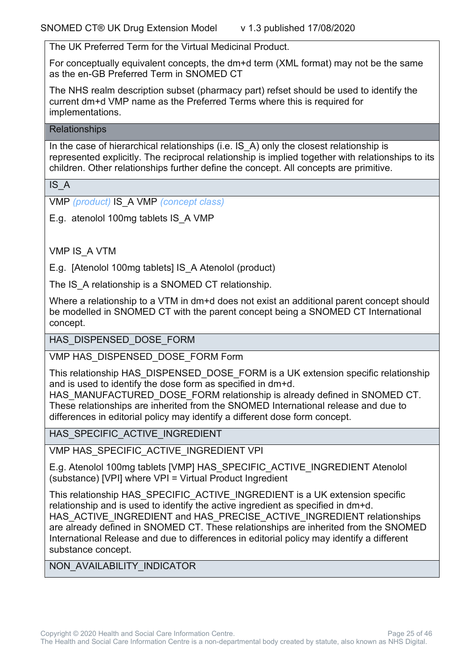The UK Preferred Term for the Virtual Medicinal Product.

For conceptually equivalent concepts, the dm+d term (XML format) may not be the same as the en-GB Preferred Term in SNOMED CT

The NHS realm description subset (pharmacy part) refset should be used to identify the current dm+d VMP name as the Preferred Terms where this is required for implementations.

#### **Relationships**

In the case of hierarchical relationships (i.e. IS A) only the closest relationship is represented explicitly. The reciprocal relationship is implied together with relationships to its children. Other relationships further define the concept. All concepts are primitive.

IS\_A

VMP *(product)* IS\_A VMP *(concept class)*

E.g. atenolol 100mg tablets IS\_A VMP

VMP IS\_A VTM

E.g. [Atenolol 100mg tablets] IS\_A Atenolol (product)

The IS A relationship is a SNOMED CT relationship.

Where a relationship to a VTM in dm+d does not exist an additional parent concept should be modelled in SNOMED CT with the parent concept being a SNOMED CT International concept.

HAS DISPENSED DOSE FORM

VMP HAS\_DISPENSED\_DOSE\_FORM Form

This relationship HAS\_DISPENSED\_DOSE\_FORM is a UK extension specific relationship and is used to identify the dose form as specified in dm+d.

HAS MANUFACTURED DOSE FORM relationship is already defined in SNOMED CT. These relationships are inherited from the SNOMED International release and due to differences in editorial policy may identify a different dose form concept.

HAS SPECIFIC ACTIVE INGREDIENT

VMP HAS\_SPECIFIC\_ACTIVE\_INGREDIENT VPI

E.g. Atenolol 100mg tablets [VMP] HAS\_SPECIFIC\_ACTIVE\_INGREDIENT Atenolol (substance) [VPI] where VPI = Virtual Product Ingredient

This relationship HAS\_SPECIFIC\_ACTIVE\_INGREDIENT is a UK extension specific relationship and is used to identify the active ingredient as specified in dm+d. HAS\_ACTIVE\_INGREDIENT and HAS\_PRECISE\_ACTIVE\_INGREDIENT relationships are already defined in SNOMED CT. These relationships are inherited from the SNOMED International Release and due to differences in editorial policy may identify a different substance concept.

NON\_AVAILABILITY\_INDICATOR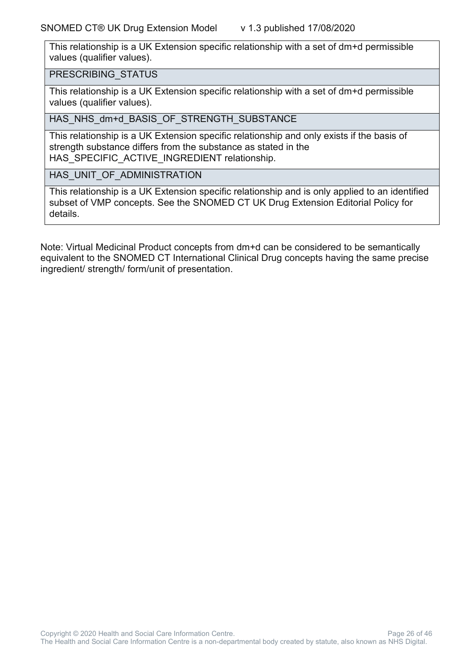This relationship is a UK Extension specific relationship with a set of dm+d permissible values (qualifier values).

PRESCRIBING\_STATUS

This relationship is a UK Extension specific relationship with a set of dm+d permissible values (qualifier values).

HAS\_NHS\_dm+d\_BASIS\_OF\_STRENGTH\_SUBSTANCE

This relationship is a UK Extension specific relationship and only exists if the basis of strength substance differs from the substance as stated in the HAS SPECIFIC ACTIVE INGREDIENT relationship.

HAS\_UNIT\_OF\_ADMINISTRATION

This relationship is a UK Extension specific relationship and is only applied to an identified subset of VMP concepts. See the SNOMED CT UK Drug Extension Editorial Policy for details.

Note: Virtual Medicinal Product concepts from dm+d can be considered to be semantically equivalent to the SNOMED CT International Clinical Drug concepts having the same precise ingredient/ strength/ form/unit of presentation.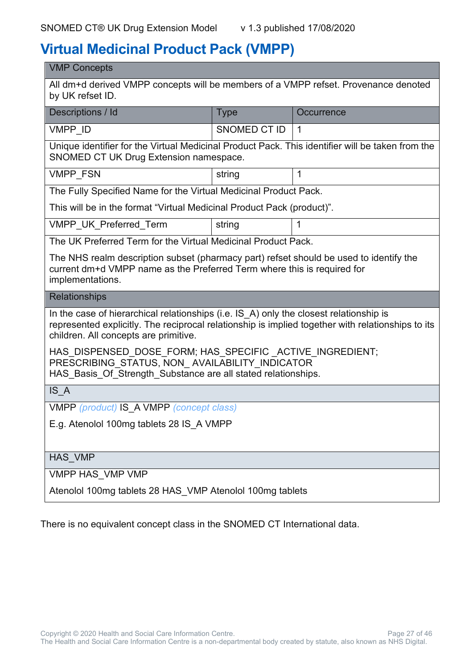### <span id="page-26-0"></span>**Virtual Medicinal Product Pack (VMPP)**

| <b>VMP Concepts</b>                                                                                                                                                                                                                  |                     |              |  |
|--------------------------------------------------------------------------------------------------------------------------------------------------------------------------------------------------------------------------------------|---------------------|--------------|--|
| All dm+d derived VMPP concepts will be members of a VMPP refset. Provenance denoted<br>by UK refset ID.                                                                                                                              |                     |              |  |
| Descriptions / Id                                                                                                                                                                                                                    | <b>Type</b>         | Occurrence   |  |
| VMPP ID                                                                                                                                                                                                                              | <b>SNOMED CT ID</b> | $\mathbf{1}$ |  |
| Unique identifier for the Virtual Medicinal Product Pack. This identifier will be taken from the<br>SNOMED CT UK Drug Extension namespace.                                                                                           |                     |              |  |
| <b>VMPP FSN</b>                                                                                                                                                                                                                      | string              | $\mathbf 1$  |  |
| The Fully Specified Name for the Virtual Medicinal Product Pack.                                                                                                                                                                     |                     |              |  |
| This will be in the format "Virtual Medicinal Product Pack (product)".                                                                                                                                                               |                     |              |  |
| <b>VMPP UK Preferred Term</b>                                                                                                                                                                                                        | string              | 1            |  |
| The UK Preferred Term for the Virtual Medicinal Product Pack.                                                                                                                                                                        |                     |              |  |
| The NHS realm description subset (pharmacy part) refset should be used to identify the<br>current dm+d VMPP name as the Preferred Term where this is required for<br>implementations.                                                |                     |              |  |
| <b>Relationships</b>                                                                                                                                                                                                                 |                     |              |  |
| In the case of hierarchical relationships (i.e. IS A) only the closest relationship is<br>represented explicitly. The reciprocal relationship is implied together with relationships to its<br>children. All concepts are primitive. |                     |              |  |
| HAS DISPENSED DOSE FORM; HAS SPECIFIC ACTIVE INGREDIENT;<br>PRESCRIBING_STATUS, NON_AVAILABILITY_INDICATOR<br>HAS Basis Of Strength Substance are all stated relationships.                                                          |                     |              |  |
| IS A                                                                                                                                                                                                                                 |                     |              |  |
| VMPP (product) IS A VMPP (concept class)                                                                                                                                                                                             |                     |              |  |
| E.g. Atenolol 100mg tablets 28 IS A VMPP                                                                                                                                                                                             |                     |              |  |
|                                                                                                                                                                                                                                      |                     |              |  |
| <b>HAS VMP</b>                                                                                                                                                                                                                       |                     |              |  |
| VMPP HAS VMP VMP                                                                                                                                                                                                                     |                     |              |  |
| Atenolol 100mg tablets 28 HAS_VMP Atenolol 100mg tablets                                                                                                                                                                             |                     |              |  |

There is no equivalent concept class in the SNOMED CT International data.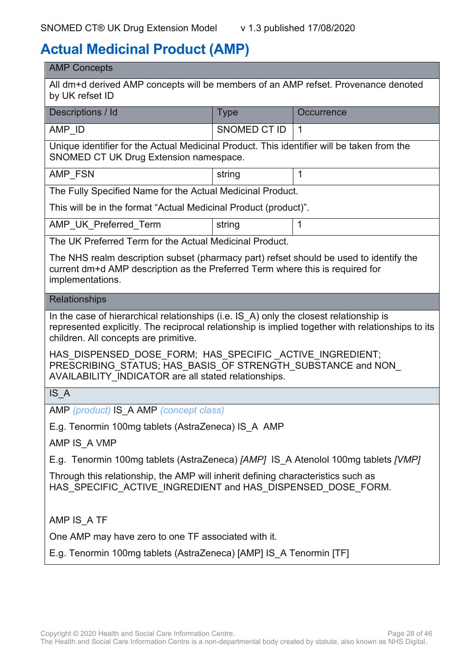### <span id="page-27-0"></span>**Actual Medicinal Product (AMP)**

| Descriptions / Id                                                                                                                                                                                                                    | <b>Type</b>         | Occurrence     |
|--------------------------------------------------------------------------------------------------------------------------------------------------------------------------------------------------------------------------------------|---------------------|----------------|
|                                                                                                                                                                                                                                      |                     |                |
| AMP ID                                                                                                                                                                                                                               | <b>SNOMED CT ID</b> | $\overline{1}$ |
| Unique identifier for the Actual Medicinal Product. This identifier will be taken from the<br>SNOMED CT UK Drug Extension namespace.                                                                                                 |                     |                |
| AMP FSN                                                                                                                                                                                                                              | string              | $\mathbf 1$    |
| The Fully Specified Name for the Actual Medicinal Product.                                                                                                                                                                           |                     |                |
| This will be in the format "Actual Medicinal Product (product)".                                                                                                                                                                     |                     |                |
| AMP_UK_Preferred_Term                                                                                                                                                                                                                | string              | 1              |
| The UK Preferred Term for the Actual Medicinal Product.                                                                                                                                                                              |                     |                |
| The NHS realm description subset (pharmacy part) refset should be used to identify the<br>current dm+d AMP description as the Preferred Term where this is required for<br>implementations.                                          |                     |                |
| <b>Relationships</b>                                                                                                                                                                                                                 |                     |                |
| In the case of hierarchical relationships (i.e. IS_A) only the closest relationship is<br>represented explicitly. The reciprocal relationship is implied together with relationships to its<br>children. All concepts are primitive. |                     |                |
| HAS DISPENSED DOSE FORM; HAS SPECIFIC ACTIVE INGREDIENT;<br>PRESCRIBING STATUS; HAS BASIS OF STRENGTH SUBSTANCE and NON<br>AVAILABILITY INDICATOR are all stated relationships.                                                      |                     |                |
| IS A                                                                                                                                                                                                                                 |                     |                |
| AMP (product) IS A AMP (concept class)                                                                                                                                                                                               |                     |                |
| E.g. Tenormin 100mg tablets (AstraZeneca) IS A AMP                                                                                                                                                                                   |                     |                |
| AMP IS A VMP                                                                                                                                                                                                                         |                     |                |
| E.g. Tenormin 100mg tablets (AstraZeneca) [AMP] IS A Atenolol 100mg tablets [VMP]                                                                                                                                                    |                     |                |
| Through this relationship, the AMP will inherit defining characteristics such as<br>HAS_SPECIFIC_ACTIVE_INGREDIENT and HAS_DISPENSED_DOSE_FORM.                                                                                      |                     |                |
|                                                                                                                                                                                                                                      |                     |                |
| AMP IS_A TF                                                                                                                                                                                                                          |                     |                |
| One AMP may have zero to one TF associated with it.                                                                                                                                                                                  |                     |                |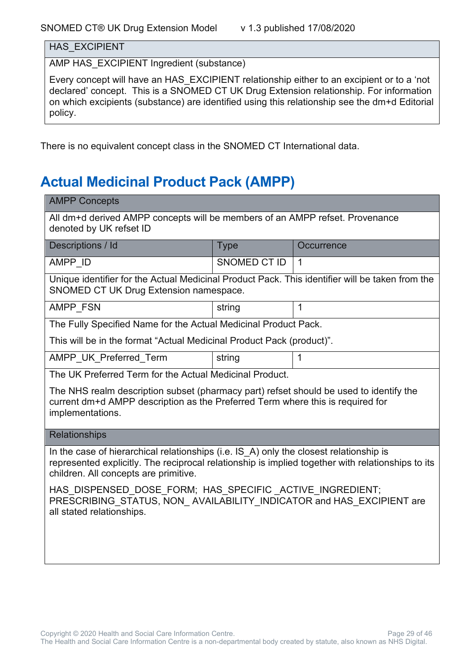HAS\_EXCIPIENT

AMP HAS\_EXCIPIENT Ingredient (substance)

Every concept will have an HAS\_EXCIPIENT relationship either to an excipient or to a 'not declared' concept. This is a SNOMED CT UK Drug Extension relationship. For information on which excipients (substance) are identified using this relationship see the dm+d Editorial policy.

There is no equivalent concept class in the SNOMED CT International data.

# <span id="page-28-0"></span>**Actual Medicinal Product Pack (AMPP)**

| <b>AMPP Concepts</b>                                                                                                                                                                                                                 |                           |              |  |  |
|--------------------------------------------------------------------------------------------------------------------------------------------------------------------------------------------------------------------------------------|---------------------------|--------------|--|--|
| All dm+d derived AMPP concepts will be members of an AMPP refset. Provenance<br>denoted by UK refset ID                                                                                                                              |                           |              |  |  |
| Descriptions / Id                                                                                                                                                                                                                    | <b>Type</b><br>Occurrence |              |  |  |
| AMPP_ID                                                                                                                                                                                                                              | <b>SNOMED CT ID</b>       | $\mathbf 1$  |  |  |
| Unique identifier for the Actual Medicinal Product Pack. This identifier will be taken from the<br>SNOMED CT UK Drug Extension namespace.                                                                                            |                           |              |  |  |
| AMPP FSN                                                                                                                                                                                                                             | string                    | $\mathbf{1}$ |  |  |
| The Fully Specified Name for the Actual Medicinal Product Pack.                                                                                                                                                                      |                           |              |  |  |
| This will be in the format "Actual Medicinal Product Pack (product)".                                                                                                                                                                |                           |              |  |  |
| AMPP UK Preferred Term                                                                                                                                                                                                               | string                    | $\mathbf{1}$ |  |  |
| The UK Preferred Term for the Actual Medicinal Product.                                                                                                                                                                              |                           |              |  |  |
| The NHS realm description subset (pharmacy part) refset should be used to identify the<br>current dm+d AMPP description as the Preferred Term where this is required for<br>implementations.                                         |                           |              |  |  |
| <b>Relationships</b>                                                                                                                                                                                                                 |                           |              |  |  |
| In the case of hierarchical relationships (i.e. IS A) only the closest relationship is<br>represented explicitly. The reciprocal relationship is implied together with relationships to its<br>children. All concepts are primitive. |                           |              |  |  |
| HAS DISPENSED DOSE FORM; HAS SPECIFIC ACTIVE INGREDIENT;<br>PRESCRIBING STATUS, NON AVAILABILITY INDICATOR and HAS EXCIPIENT are<br>all stated relationships.                                                                        |                           |              |  |  |
|                                                                                                                                                                                                                                      |                           |              |  |  |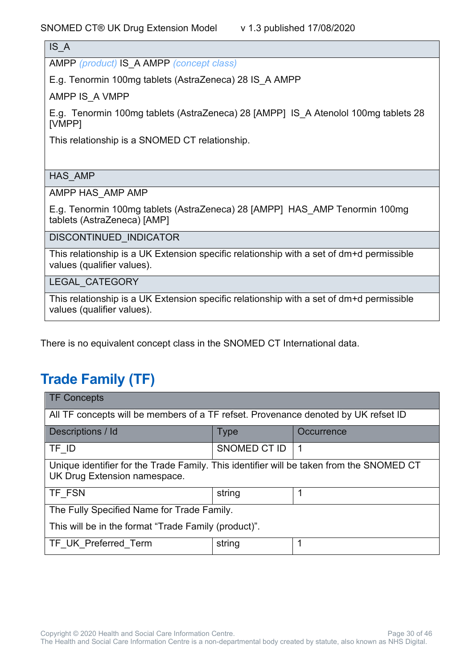IS\_A

AMPP *(product)* IS\_A AMPP *(concept class)*

E.g. Tenormin 100mg tablets (AstraZeneca) 28 IS\_A AMPP

AMPP IS\_A VMPP

E.g. Tenormin 100mg tablets (AstraZeneca) 28 [AMPP] IS\_A Atenolol 100mg tablets 28 [VMPP]

This relationship is a SNOMED CT relationship.

HAS\_AMP

AMPP HAS\_AMP AMP

E.g. Tenormin 100mg tablets (AstraZeneca) 28 [AMPP] HAS\_AMP Tenormin 100mg tablets (AstraZeneca) [AMP]

DISCONTINUED\_INDICATOR

This relationship is a UK Extension specific relationship with a set of dm+d permissible values (qualifier values).

LEGAL\_CATEGORY

This relationship is a UK Extension specific relationship with a set of dm+d permissible values (qualifier values).

There is no equivalent concept class in the SNOMED CT International data.

### <span id="page-29-0"></span>**Trade Family (TF)**

| <b>TF Concepts</b>                                                                                                       |              |                |
|--------------------------------------------------------------------------------------------------------------------------|--------------|----------------|
| All TF concepts will be members of a TF refset. Provenance denoted by UK refset ID                                       |              |                |
| Descriptions / Id                                                                                                        | <b>Type</b>  | Occurrence     |
| TF ID                                                                                                                    | SNOMED CT ID | $\overline{1}$ |
| Unique identifier for the Trade Family. This identifier will be taken from the SNOMED CT<br>UK Drug Extension namespace. |              |                |
| TF FSN                                                                                                                   | string       | 1              |
| The Fully Specified Name for Trade Family.                                                                               |              |                |
| This will be in the format "Trade Family (product)".                                                                     |              |                |
| TF UK Preferred Term                                                                                                     | string       |                |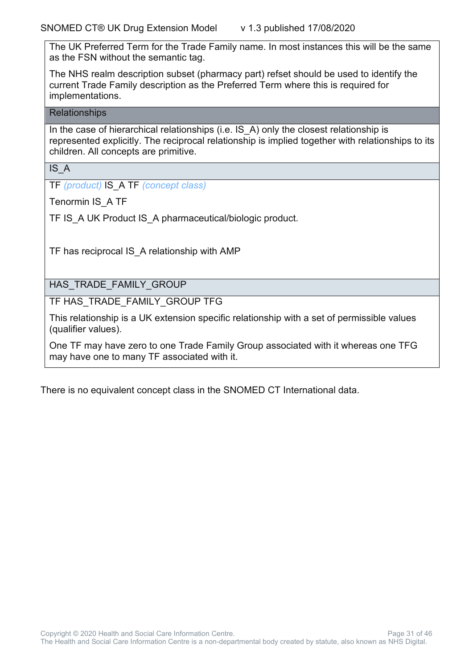The UK Preferred Term for the Trade Family name. In most instances this will be the same as the FSN without the semantic tag.

The NHS realm description subset (pharmacy part) refset should be used to identify the current Trade Family description as the Preferred Term where this is required for implementations.

#### **Relationships**

In the case of hierarchical relationships (i.e. IS A) only the closest relationship is represented explicitly. The reciprocal relationship is implied together with relationships to its children. All concepts are primitive.

IS\_A

TF *(product)* IS\_A TF *(concept class)*

Tenormin IS\_A TF

TF IS A UK Product IS A pharmaceutical/biologic product.

TF has reciprocal IS\_A relationship with AMP

HAS\_TRADE\_FAMILY\_GROUP

TF HAS\_TRADE\_FAMILY\_GROUP TFG

This relationship is a UK extension specific relationship with a set of permissible values (qualifier values).

One TF may have zero to one Trade Family Group associated with it whereas one TFG may have one to many TF associated with it.

There is no equivalent concept class in the SNOMED CT International data.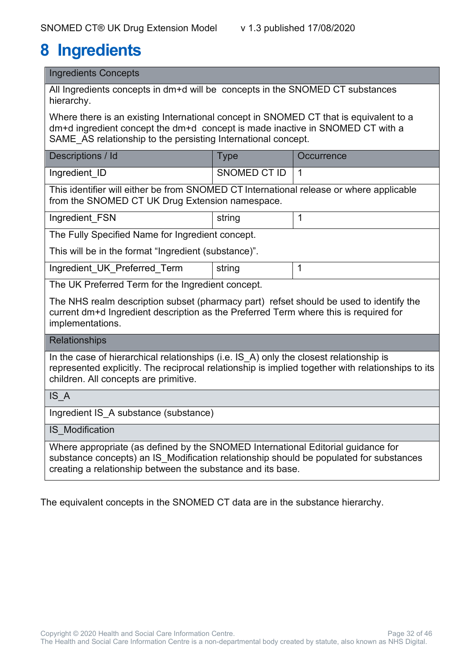# <span id="page-31-0"></span>**8 Ingredients**

Ingredients Concepts

All Ingredients concepts in dm+d will be concepts in the SNOMED CT substances hierarchy.

Where there is an existing International concept in SNOMED CT that is equivalent to a dm+d ingredient concept the dm+d concept is made inactive in SNOMED CT with a SAME AS relationship to the persisting International concept.

| Descriptions / Id | ype          | Occurrence |
|-------------------|--------------|------------|
| Ingredient_ID     | SNOMED CT ID |            |

This identifier will either be from SNOMED CT International release or where applicable from the SNOMED CT UK Drug Extension namespace.

Ingredient FSN string 1

The Fully Specified Name for Ingredient concept.

This will be in the format "Ingredient (substance)".

Ingredient UK Preferred Term string 1

The UK Preferred Term for the Ingredient concept.

The NHS realm description subset (pharmacy part) refset should be used to identify the current dm+d Ingredient description as the Preferred Term where this is required for implementations.

**Relationships** 

In the case of hierarchical relationships (i.e. IS A) only the closest relationship is represented explicitly. The reciprocal relationship is implied together with relationships to its children. All concepts are primitive.

| IS A                                                                             |
|----------------------------------------------------------------------------------|
| Ingredient IS A substance (substance)                                            |
| <b>IS Modification</b>                                                           |
| Where appropriate (as defined by the SNOMED International Editorial quidance for |

substance concepts) an IS\_Modification relationship should be populated for substances

The equivalent concepts in the SNOMED CT data are in the substance hierarchy.

creating a relationship between the substance and its base.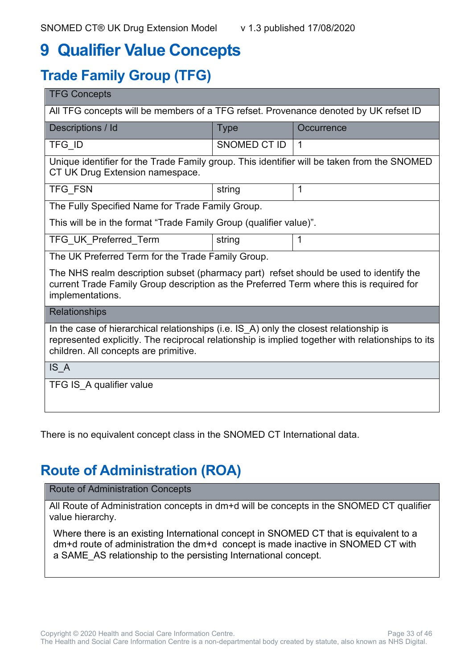# <span id="page-32-0"></span>**9 Qualifier Value Concepts**

# <span id="page-32-1"></span>**Trade Family Group (TFG)**

| <b>TFG Concepts</b>                                                                                                                                                                                                                  |              |            |
|--------------------------------------------------------------------------------------------------------------------------------------------------------------------------------------------------------------------------------------|--------------|------------|
| All TFG concepts will be members of a TFG refset. Provenance denoted by UK refset ID                                                                                                                                                 |              |            |
| Descriptions / Id                                                                                                                                                                                                                    | <b>Type</b>  | Occurrence |
| TFG ID                                                                                                                                                                                                                               | SNOMED CT ID | 1          |
| Unique identifier for the Trade Family group. This identifier will be taken from the SNOMED<br>CT UK Drug Extension namespace.                                                                                                       |              |            |
| <b>TFG FSN</b>                                                                                                                                                                                                                       | string       | 1          |
| The Fully Specified Name for Trade Family Group.                                                                                                                                                                                     |              |            |
| This will be in the format "Trade Family Group (qualifier value)".                                                                                                                                                                   |              |            |
| TFG_UK_Preferred_Term                                                                                                                                                                                                                | string       |            |
| The UK Preferred Term for the Trade Family Group.                                                                                                                                                                                    |              |            |
| The NHS realm description subset (pharmacy part) refset should be used to identify the<br>current Trade Family Group description as the Preferred Term where this is required for<br>implementations.                                |              |            |
| Relationships                                                                                                                                                                                                                        |              |            |
| In the case of hierarchical relationships (i.e. IS_A) only the closest relationship is<br>represented explicitly. The reciprocal relationship is implied together with relationships to its<br>children. All concepts are primitive. |              |            |
| IS A                                                                                                                                                                                                                                 |              |            |
| TFG IS A qualifier value                                                                                                                                                                                                             |              |            |

There is no equivalent concept class in the SNOMED CT International data.

### <span id="page-32-2"></span>**Route of Administration (ROA)**

Route of Administration Concepts

All Route of Administration concepts in dm+d will be concepts in the SNOMED CT qualifier value hierarchy.

Where there is an existing International concept in SNOMED CT that is equivalent to a dm+d route of administration the dm+d concept is made inactive in SNOMED CT with a SAME\_AS relationship to the persisting International concept.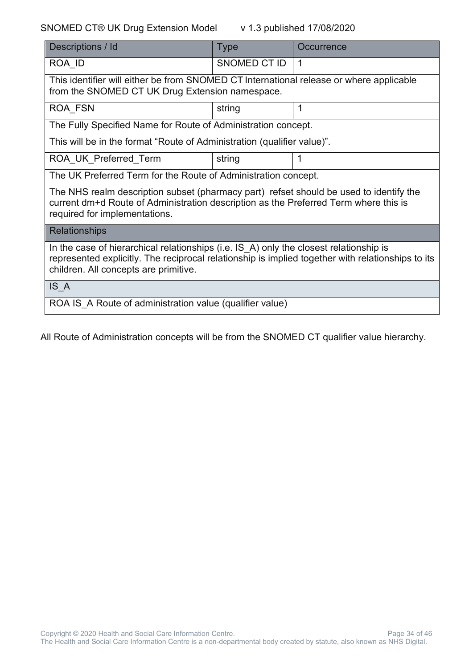#### SNOMED CT® UK Drug Extension Model v 1.3 published 17/08/2020

| Descriptions / Id                                                                                                                                                                                                                    | <b>Type</b>  | Occurrence     |
|--------------------------------------------------------------------------------------------------------------------------------------------------------------------------------------------------------------------------------------|--------------|----------------|
| ROA ID                                                                                                                                                                                                                               | SNOMED CT ID | $\overline{1}$ |
| This identifier will either be from SNOMED CT International release or where applicable<br>from the SNOMED CT UK Drug Extension namespace.                                                                                           |              |                |
| ROA FSN                                                                                                                                                                                                                              | string       | 1              |
| The Fully Specified Name for Route of Administration concept.                                                                                                                                                                        |              |                |
| This will be in the format "Route of Administration (qualifier value)".                                                                                                                                                              |              |                |
| ROA UK Preferred Term                                                                                                                                                                                                                | string       | 1              |
| The UK Preferred Term for the Route of Administration concept.                                                                                                                                                                       |              |                |
| The NHS realm description subset (pharmacy part) refset should be used to identify the<br>current dm+d Route of Administration description as the Preferred Term where this is<br>required for implementations.                      |              |                |
| <b>Relationships</b>                                                                                                                                                                                                                 |              |                |
| In the case of hierarchical relationships (i.e. IS A) only the closest relationship is<br>represented explicitly. The reciprocal relationship is implied together with relationships to its<br>children. All concepts are primitive. |              |                |
| IS A                                                                                                                                                                                                                                 |              |                |
| ROA IS A Route of administration value (qualifier value)                                                                                                                                                                             |              |                |

All Route of Administration concepts will be from the SNOMED CT qualifier value hierarchy.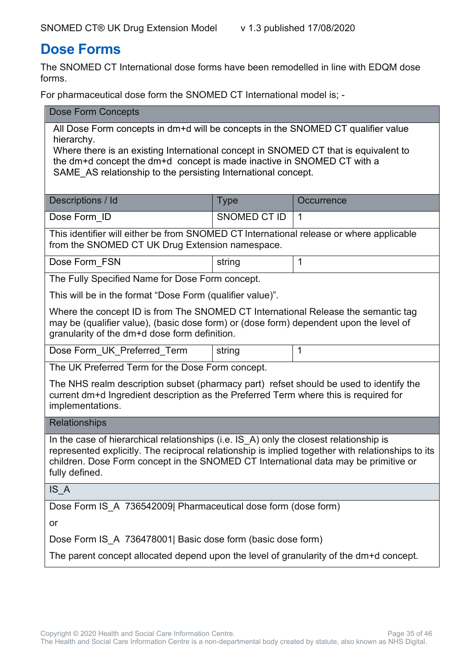#### <span id="page-34-0"></span>**Dose Forms**

The SNOMED CT International dose forms have been remodelled in line with EDQM dose forms.

For pharmaceutical dose form the SNOMED CT International model is; -

| <b>Dose Form Concepts</b>                                                                                                                                                                                                                                                                                                        |                     |              |  |  |
|----------------------------------------------------------------------------------------------------------------------------------------------------------------------------------------------------------------------------------------------------------------------------------------------------------------------------------|---------------------|--------------|--|--|
| All Dose Form concepts in dm+d will be concepts in the SNOMED CT qualifier value<br>hierarchy.<br>Where there is an existing International concept in SNOMED CT that is equivalent to<br>the dm+d concept the dm+d concept is made inactive in SNOMED CT with a<br>SAME AS relationship to the persisting International concept. |                     |              |  |  |
| Descriptions / Id                                                                                                                                                                                                                                                                                                                | <b>Type</b>         | Occurrence   |  |  |
| Dose Form ID                                                                                                                                                                                                                                                                                                                     | <b>SNOMED CT ID</b> | $\mathbf{1}$ |  |  |
| This identifier will either be from SNOMED CT International release or where applicable<br>from the SNOMED CT UK Drug Extension namespace.                                                                                                                                                                                       |                     |              |  |  |
| Dose Form_FSN                                                                                                                                                                                                                                                                                                                    | string              | $\mathbf{1}$ |  |  |
| The Fully Specified Name for Dose Form concept.                                                                                                                                                                                                                                                                                  |                     |              |  |  |
| This will be in the format "Dose Form (qualifier value)".                                                                                                                                                                                                                                                                        |                     |              |  |  |
| Where the concept ID is from The SNOMED CT International Release the semantic tag<br>may be (qualifier value), (basic dose form) or (dose form) dependent upon the level of<br>granularity of the dm+d dose form definition.                                                                                                     |                     |              |  |  |
| Dose Form_UK_Preferred_Term<br>1<br>string                                                                                                                                                                                                                                                                                       |                     |              |  |  |
| The UK Preferred Term for the Dose Form concept.                                                                                                                                                                                                                                                                                 |                     |              |  |  |
| The NHS realm description subset (pharmacy part) refset should be used to identify the<br>current dm+d Ingredient description as the Preferred Term where this is required for<br>implementations.                                                                                                                               |                     |              |  |  |
| <b>Relationships</b>                                                                                                                                                                                                                                                                                                             |                     |              |  |  |
| In the case of hierarchical relationships (i.e. IS_A) only the closest relationship is<br>represented explicitly. The reciprocal relationship is implied together with relationships to its<br>children. Dose Form concept in the SNOMED CT International data may be primitive or<br>fully defined.                             |                     |              |  |  |
| IS A                                                                                                                                                                                                                                                                                                                             |                     |              |  |  |
| Dose Form IS_A 736542009  Pharmaceutical dose form (dose form)                                                                                                                                                                                                                                                                   |                     |              |  |  |
| or                                                                                                                                                                                                                                                                                                                               |                     |              |  |  |
| Dose Form IS A 736478001 Basic dose form (basic dose form)                                                                                                                                                                                                                                                                       |                     |              |  |  |
| The parent concept allocated depend upon the level of granularity of the dm+d concept.                                                                                                                                                                                                                                           |                     |              |  |  |
|                                                                                                                                                                                                                                                                                                                                  |                     |              |  |  |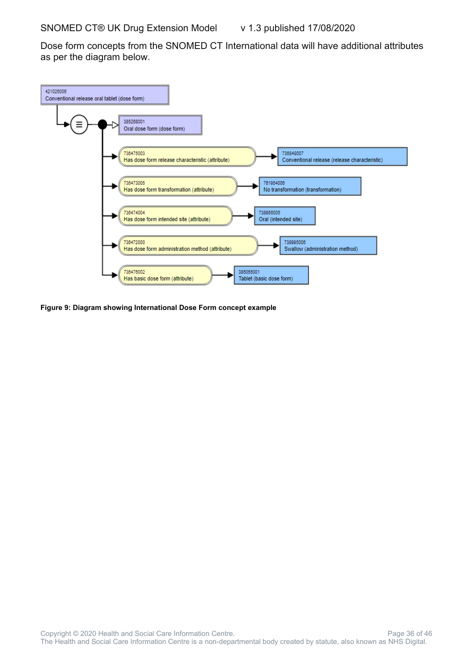Dose form concepts from the SNOMED CT International data will have additional attributes as per the diagram below.



**Figure 9: Diagram showing International Dose Form concept example**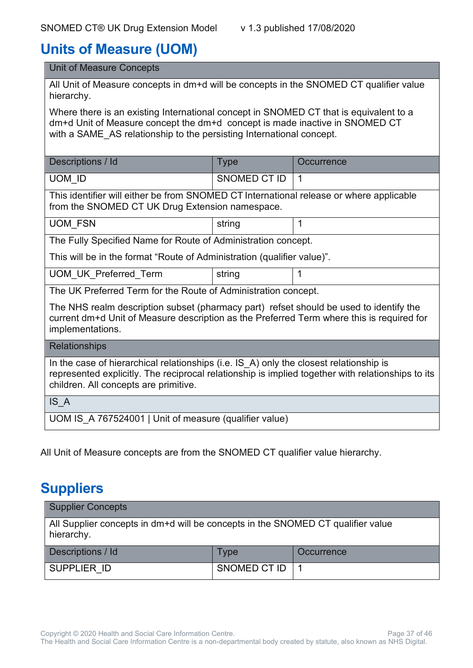### <span id="page-36-0"></span>**Units of Measure (UOM)**

| <b>Unit of Measure Concepts</b>                                                                                                                                                                                                              |              |            |  |
|----------------------------------------------------------------------------------------------------------------------------------------------------------------------------------------------------------------------------------------------|--------------|------------|--|
| All Unit of Measure concepts in dm+d will be concepts in the SNOMED CT qualifier value<br>hierarchy.                                                                                                                                         |              |            |  |
| Where there is an existing International concept in SNOMED CT that is equivalent to a<br>dm+d Unit of Measure concept the dm+d concept is made inactive in SNOMED CT<br>with a SAME AS relationship to the persisting International concept. |              |            |  |
| Descriptions / Id                                                                                                                                                                                                                            | <b>Type</b>  | Occurrence |  |
| UOM ID                                                                                                                                                                                                                                       | SNOMED CT ID | 1          |  |
| This identifier will either be from SNOMED CT International release or where applicable<br>from the SNOMED CT UK Drug Extension namespace.                                                                                                   |              |            |  |
| <b>UOM FSN</b>                                                                                                                                                                                                                               | string       | 1          |  |
| The Fully Specified Name for Route of Administration concept.                                                                                                                                                                                |              |            |  |
| This will be in the format "Route of Administration (qualifier value)".                                                                                                                                                                      |              |            |  |
| <b>UOM UK Preferred Term</b>                                                                                                                                                                                                                 | string       | 1          |  |
| The UK Preferred Term for the Route of Administration concept.                                                                                                                                                                               |              |            |  |
| The NHS realm description subset (pharmacy part) refset should be used to identify the<br>current dm+d Unit of Measure description as the Preferred Term where this is required for<br>implementations.                                      |              |            |  |
| <b>Relationships</b>                                                                                                                                                                                                                         |              |            |  |
| In the case of hierarchical relationships (i.e. IS_A) only the closest relationship is<br>represented explicitly. The reciprocal relationship is implied together with relationships to its<br>children. All concepts are primitive.         |              |            |  |
| IS A                                                                                                                                                                                                                                         |              |            |  |
| UOM IS A 767524001   Unit of measure (qualifier value)                                                                                                                                                                                       |              |            |  |

All Unit of Measure concepts are from the SNOMED CT qualifier value hierarchy.

### <span id="page-36-1"></span>**Suppliers**

| <b>Supplier Concepts</b>                                                                      |                     |            |
|-----------------------------------------------------------------------------------------------|---------------------|------------|
| All Supplier concepts in dm+d will be concepts in the SNOMED CT qualifier value<br>hierarchy. |                     |            |
| Descriptions / Id                                                                             | Type                | Occurrence |
| SUPPLIER ID                                                                                   | <b>SNOMED CT ID</b> |            |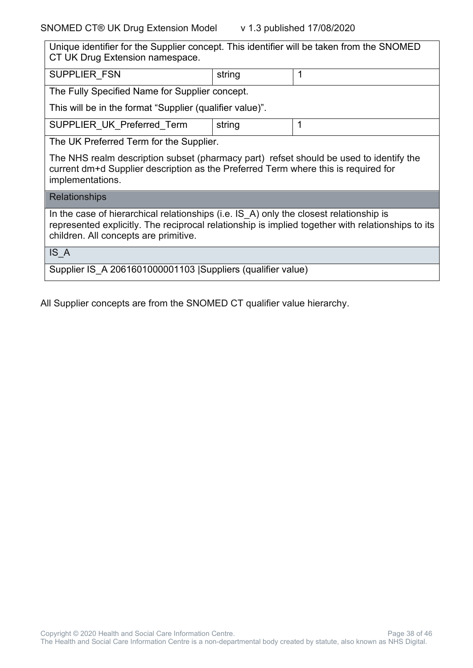| Unique identifier for the Supplier concept. This identifier will be taken from the SNOMED<br>CT UK Drug Extension namespace.                                                                                                         |        |   |  |
|--------------------------------------------------------------------------------------------------------------------------------------------------------------------------------------------------------------------------------------|--------|---|--|
| <b>SUPPLIER FSN</b>                                                                                                                                                                                                                  | string | 1 |  |
| The Fully Specified Name for Supplier concept.                                                                                                                                                                                       |        |   |  |
| This will be in the format "Supplier (qualifier value)".                                                                                                                                                                             |        |   |  |
| SUPPLIER UK Preferred Term                                                                                                                                                                                                           | string | 1 |  |
| The UK Preferred Term for the Supplier.                                                                                                                                                                                              |        |   |  |
| The NHS realm description subset (pharmacy part) refset should be used to identify the<br>current dm+d Supplier description as the Preferred Term where this is required for<br>implementations.                                     |        |   |  |
| <b>Relationships</b>                                                                                                                                                                                                                 |        |   |  |
| In the case of hierarchical relationships (i.e. IS A) only the closest relationship is<br>represented explicitly. The reciprocal relationship is implied together with relationships to its<br>children. All concepts are primitive. |        |   |  |
| IS A                                                                                                                                                                                                                                 |        |   |  |
| Supplier IS A 2061601000001103 Suppliers (qualifier value)                                                                                                                                                                           |        |   |  |

All Supplier concepts are from the SNOMED CT qualifier value hierarchy.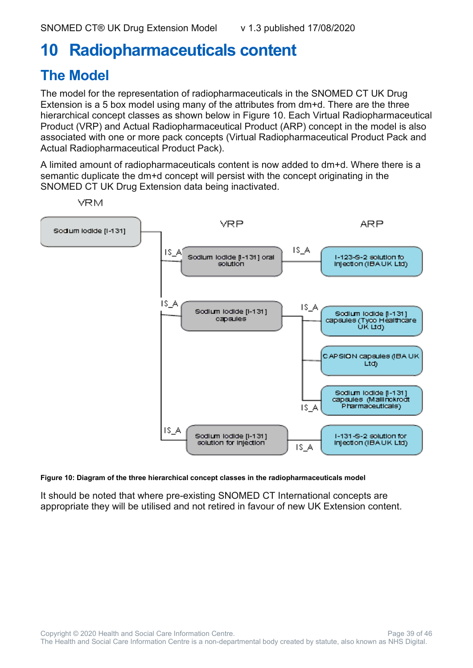# <span id="page-38-0"></span>**10 Radiopharmaceuticals content**

### <span id="page-38-1"></span>**The Model**

The model for the representation of radiopharmaceuticals in the SNOMED CT UK Drug Extension is a 5 box model using many of the attributes from dm+d. There are the three hierarchical concept classes as shown below in Figure 10. Each Virtual Radiopharmaceutical Product (VRP) and Actual Radiopharmaceutical Product (ARP) concept in the model is also associated with one or more pack concepts (Virtual Radiopharmaceutical Product Pack and Actual Radiopharmaceutical Product Pack).

A limited amount of radiopharmaceuticals content is now added to dm+d. Where there is a semantic duplicate the dm+d concept will persist with the concept originating in the SNOMED CT UK Drug Extension data being inactivated.



**Figure 10: Diagram of the three hierarchical concept classes in the radiopharmaceuticals model**

It should be noted that where pre-existing SNOMED CT International concepts are appropriate they will be utilised and not retired in favour of new UK Extension content.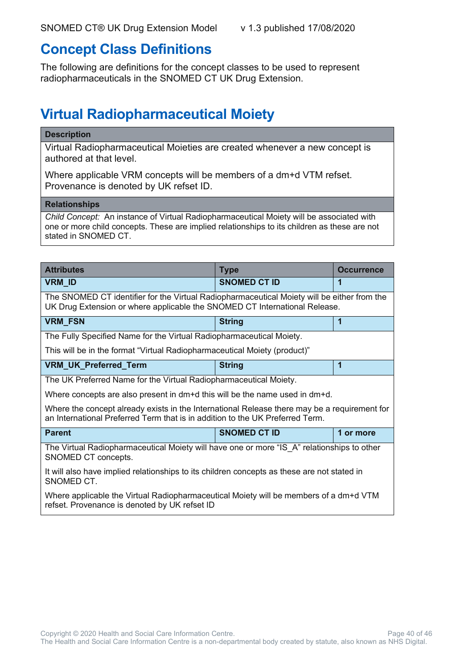#### <span id="page-39-0"></span>**Concept Class Definitions**

The following are definitions for the concept classes to be used to represent radiopharmaceuticals in the SNOMED CT UK Drug Extension.

### <span id="page-39-1"></span>**Virtual Radiopharmaceutical Moiety**

#### **Description**

Virtual Radiopharmaceutical Moieties are created whenever a new concept is authored at that level.

Where applicable VRM concepts will be members of a dm+d VTM refset. Provenance is denoted by UK refset ID.

#### **Relationships**

*Child Concept:* An instance of Virtual Radiopharmaceutical Moiety will be associated with one or more child concepts. These are implied relationships to its children as these are not stated in SNOMED CT.

| <b>Attributes</b>                                                                                                                                                             | <b>Type</b>         | <b>Occurrence</b> |  |
|-------------------------------------------------------------------------------------------------------------------------------------------------------------------------------|---------------------|-------------------|--|
| <b>VRM_ID</b>                                                                                                                                                                 | <b>SNOMED CT ID</b> | 1                 |  |
| The SNOMED CT identifier for the Virtual Radiopharmaceutical Moiety will be either from the<br>UK Drug Extension or where applicable the SNOMED CT International Release.     |                     |                   |  |
| <b>VRM_FSN</b>                                                                                                                                                                | <b>String</b>       | 1                 |  |
| The Fully Specified Name for the Virtual Radiopharmaceutical Moiety.                                                                                                          |                     |                   |  |
| This will be in the format "Virtual Radiopharmaceutical Moiety (product)"                                                                                                     |                     |                   |  |
| <b>VRM_UK_Preferred_Term</b>                                                                                                                                                  | <b>String</b>       | 1                 |  |
| The UK Preferred Name for the Virtual Radiopharmaceutical Moiety.                                                                                                             |                     |                   |  |
| Where concepts are also present in $dm+d$ this will be the name used in $dm+d$ .                                                                                              |                     |                   |  |
| Where the concept already exists in the International Release there may be a requirement for<br>an International Preferred Term that is in addition to the UK Preferred Term. |                     |                   |  |
| <b>Parent</b>                                                                                                                                                                 | <b>SNOMED CT ID</b> | 1 or more         |  |
| The Virtual Radiopharmaceutical Moiety will have one or more "IS_A" relationships to other<br>SNOMED CT concepts.                                                             |                     |                   |  |
| It will also have implied relationships to its children concepts as these are not stated in<br>SNOMED CT.                                                                     |                     |                   |  |
| Where applicable the Virtual Radiopharmaceutical Moiety will be members of a dm+d VTM<br>refset. Provenance is denoted by UK refset ID                                        |                     |                   |  |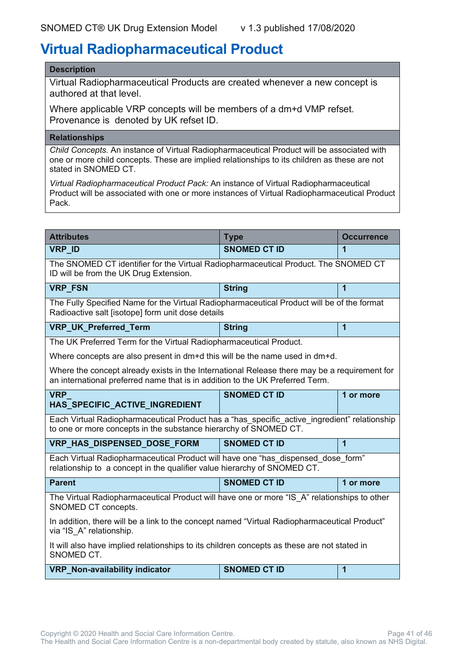#### <span id="page-40-0"></span>**Virtual Radiopharmaceutical Product**

#### **Description**

Virtual Radiopharmaceutical Products are created whenever a new concept is authored at that level.

Where applicable VRP concepts will be members of a dm+d VMP refset. Provenance is denoted by UK refset ID.

#### **Relationships**

*Child Concepts.* An instance of Virtual Radiopharmaceutical Product will be associated with one or more child concepts. These are implied relationships to its children as these are not stated in SNOMED CT.

*Virtual Radiopharmaceutical Product Pack:* An instance of Virtual Radiopharmaceutical Product will be associated with one or more instances of Virtual Radiopharmaceutical Product Pack.

| <b>Attributes</b>                                                                                                                                                             | <b>Type</b>         | <b>Occurrence</b>       |  |
|-------------------------------------------------------------------------------------------------------------------------------------------------------------------------------|---------------------|-------------------------|--|
| <b>VRP ID</b>                                                                                                                                                                 | <b>SNOMED CT ID</b> | 1                       |  |
| The SNOMED CT identifier for the Virtual Radiopharmaceutical Product. The SNOMED CT<br>ID will be from the UK Drug Extension.                                                 |                     |                         |  |
| <b>VRP FSN</b>                                                                                                                                                                | <b>String</b>       | 1                       |  |
| The Fully Specified Name for the Virtual Radiopharmaceutical Product will be of the format<br>Radioactive salt [isotope] form unit dose details                               |                     |                         |  |
| <b>VRP_UK_Preferred_Term</b>                                                                                                                                                  | <b>String</b>       | $\overline{\mathbf{1}}$ |  |
| The UK Preferred Term for the Virtual Radiopharmaceutical Product.                                                                                                            |                     |                         |  |
| Where concepts are also present in $dm+d$ this will be the name used in $dm+d$ .                                                                                              |                     |                         |  |
| Where the concept already exists in the International Release there may be a requirement for<br>an international preferred name that is in addition to the UK Preferred Term. |                     |                         |  |
| <b>VRP</b><br>HAS SPECIFIC ACTIVE INGREDIENT                                                                                                                                  | <b>SNOMED CT ID</b> | 1 or more               |  |
| Each Virtual Radiopharmaceutical Product has a "has specific active ingredient" relationship<br>to one or more concepts in the substance hierarchy of SNOMED CT.              |                     |                         |  |
| VRP_HAS_DISPENSED_DOSE_FORM                                                                                                                                                   | <b>SNOMED CT ID</b> | 1                       |  |
| Each Virtual Radiopharmaceutical Product will have one "has dispensed dose form"<br>relationship to a concept in the qualifier value hierarchy of SNOMED CT.                  |                     |                         |  |
| <b>Parent</b>                                                                                                                                                                 | <b>SNOMED CT ID</b> | 1 or more               |  |
| The Virtual Radiopharmaceutical Product will have one or more "IS A" relationships to other<br>SNOMED CT concepts.                                                            |                     |                         |  |
| In addition, there will be a link to the concept named "Virtual Radiopharmaceutical Product"<br>via "IS A" relationship.                                                      |                     |                         |  |
| It will also have implied relationships to its children concepts as these are not stated in<br>SNOMED CT.                                                                     |                     |                         |  |
| VRP_Non-availability indicator                                                                                                                                                | <b>SNOMED CT ID</b> | 1                       |  |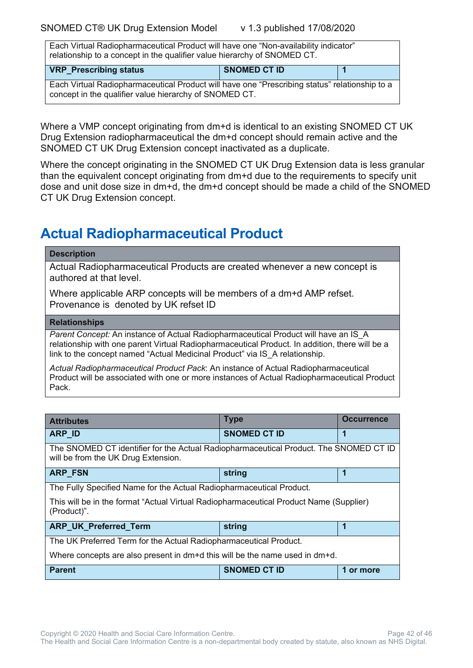Each Virtual Radiopharmaceutical Product will have one "Non-availability indicator" relationship to a concept in the qualifier value hierarchy of SNOMED CT.

| <b>VRP</b> Prescribing status                                                                                                                           | <b>SNOMED CT ID</b> |  |
|---------------------------------------------------------------------------------------------------------------------------------------------------------|---------------------|--|
| Each Virtual Radiopharmaceutical Product will have one "Prescribing status" relationship to a<br>concept in the qualifier value hierarchy of SNOMED CT. |                     |  |

Where a VMP concept originating from dm+d is identical to an existing SNOMED CT UK Drug Extension radiopharmaceutical the dm+d concept should remain active and the SNOMED CT UK Drug Extension concept inactivated as a duplicate.

Where the concept originating in the SNOMED CT UK Drug Extension data is less granular than the equivalent concept originating from dm+d due to the requirements to specify unit dose and unit dose size in dm+d, the dm+d concept should be made a child of the SNOMED CT UK Drug Extension concept.

### <span id="page-41-0"></span>**Actual Radiopharmaceutical Product**

#### **Description**

Actual Radiopharmaceutical Products are created whenever a new concept is authored at that level.

Where applicable ARP concepts will be members of a dm+d AMP refset. Provenance is denoted by UK refset ID

#### **Relationships**

*Parent Concept:* An instance of Actual Radiopharmaceutical Product will have an IS\_A relationship with one parent Virtual Radiopharmaceutical Product. In addition, there will be a link to the concept named "Actual Medicinal Product" via IS A relationship.

*Actual Radiopharmaceutical Product Pack*: An instance of Actual Radiopharmaceutical Product will be associated with one or more instances of Actual Radiopharmaceutical Product Pack.

| <b>Attributes</b>                                                                                                            | <b>Type</b>         | <b>Occurrence</b> |  |
|------------------------------------------------------------------------------------------------------------------------------|---------------------|-------------------|--|
| <b>ARP ID</b>                                                                                                                | <b>SNOMED CT ID</b> | 1                 |  |
| The SNOMED CT identifier for the Actual Radiopharmaceutical Product. The SNOMED CT ID<br>will be from the UK Drug Extension. |                     |                   |  |
| ARP_FSN                                                                                                                      | string              | 1                 |  |
| The Fully Specified Name for the Actual Radiopharmaceutical Product.                                                         |                     |                   |  |
| This will be in the format "Actual Virtual Radiopharmaceutical Product Name (Supplier)<br>(Product)".                        |                     |                   |  |
| <b>ARP_UK_Preferred_Term</b>                                                                                                 | string              | 1                 |  |
| The UK Preferred Term for the Actual Radiopharmaceutical Product.                                                            |                     |                   |  |
| Where concepts are also present in dm+d this will be the name used in dm+d.                                                  |                     |                   |  |
| <b>Parent</b>                                                                                                                | <b>SNOMED CT ID</b> | 1 or more         |  |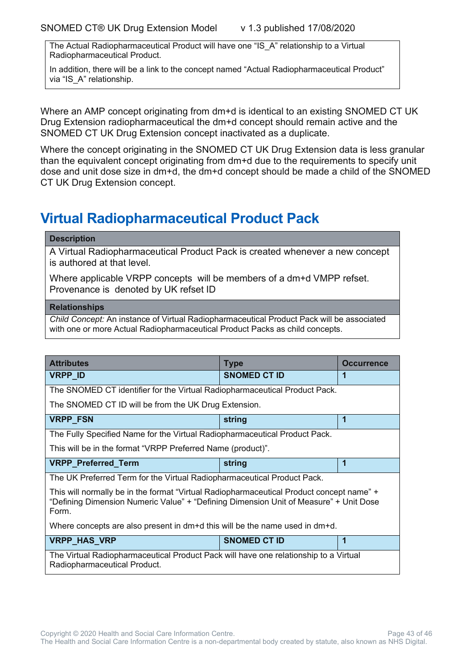The Actual Radiopharmaceutical Product will have one "IS\_A" relationship to a Virtual Radiopharmaceutical Product.

In addition, there will be a link to the concept named "Actual Radiopharmaceutical Product" via "IS A" relationship.

Where an AMP concept originating from dm+d is identical to an existing SNOMED CT UK Drug Extension radiopharmaceutical the dm+d concept should remain active and the SNOMED CT UK Drug Extension concept inactivated as a duplicate.

Where the concept originating in the SNOMED CT UK Drug Extension data is less granular than the equivalent concept originating from dm+d due to the requirements to specify unit dose and unit dose size in dm+d, the dm+d concept should be made a child of the SNOMED CT UK Drug Extension concept.

#### <span id="page-42-0"></span>**Virtual Radiopharmaceutical Product Pack**

#### **Description**

A Virtual Radiopharmaceutical Product Pack is created whenever a new concept is authored at that level.

Where applicable VRPP concepts will be members of a dm+d VMPP refset. Provenance is denoted by UK refset ID

#### **Relationships**

*Child Concept:* An instance of Virtual Radiopharmaceutical Product Pack will be associated with one or more Actual Radiopharmaceutical Product Packs as child concepts.

| <b>Attributes</b>                                                                                                                                                                          | <b>Type</b>         | <b>Occurrence</b> |
|--------------------------------------------------------------------------------------------------------------------------------------------------------------------------------------------|---------------------|-------------------|
| <b>VRPP_ID</b>                                                                                                                                                                             | <b>SNOMED CT ID</b> |                   |
| The SNOMED CT identifier for the Virtual Radiopharmaceutical Product Pack.                                                                                                                 |                     |                   |
| The SNOMED CT ID will be from the UK Drug Extension.                                                                                                                                       |                     |                   |
| <b>VRPP FSN</b>                                                                                                                                                                            | string              | 1                 |
| The Fully Specified Name for the Virtual Radiopharmaceutical Product Pack.                                                                                                                 |                     |                   |
| This will be in the format "VRPP Preferred Name (product)".                                                                                                                                |                     |                   |
| VRPP_Preferred_Term                                                                                                                                                                        | string              |                   |
| The UK Preferred Term for the Virtual Radiopharmaceutical Product Pack.                                                                                                                    |                     |                   |
| This will normally be in the format "Virtual Radiopharmaceutical Product concept name" +<br>"Defining Dimension Numeric Value" + "Defining Dimension Unit of Measure" + Unit Dose<br>Form. |                     |                   |
| Where concepts are also present in dm+d this will be the name used in dm+d.                                                                                                                |                     |                   |
| <b>VRPP_HAS_VRP</b>                                                                                                                                                                        | <b>SNOMED CT ID</b> | 1                 |
| The Virtual Radiopharmaceutical Product Pack will have one relationship to a Virtual<br>Radiopharmaceutical Product.                                                                       |                     |                   |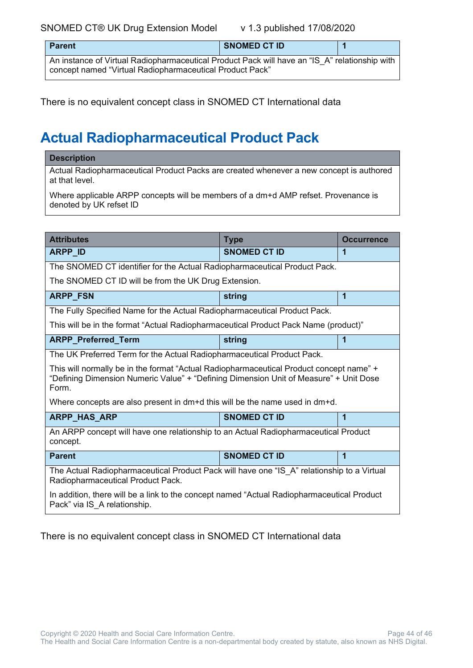SNOMED CT® UK Drug Extension Model v 1.3 published 17/08/2020

| <b>Parent</b>                                                                                                                                             | <b>SNOMED CT ID</b> |  |
|-----------------------------------------------------------------------------------------------------------------------------------------------------------|---------------------|--|
| An instance of Virtual Radiopharmaceutical Product Pack will have an "IS A" relationship with<br>concept named "Virtual Radiopharmaceutical Product Pack" |                     |  |

There is no equivalent concept class in SNOMED CT International data

# <span id="page-43-0"></span>**Actual Radiopharmaceutical Product Pack**

#### **Description**

Actual Radiopharmaceutical Product Packs are created whenever a new concept is authored at that level.

Where applicable ARPP concepts will be members of a dm+d AMP refset. Provenance is denoted by UK refset ID

| <b>Attributes</b>                                                                                                                                                                         | <b>Type</b>         | <b>Occurrence</b>       |  |
|-------------------------------------------------------------------------------------------------------------------------------------------------------------------------------------------|---------------------|-------------------------|--|
| ARPP_ID                                                                                                                                                                                   | <b>SNOMED CT ID</b> | 1                       |  |
| The SNOMED CT identifier for the Actual Radiopharmaceutical Product Pack.                                                                                                                 |                     |                         |  |
| The SNOMED CT ID will be from the UK Drug Extension.                                                                                                                                      |                     |                         |  |
| <b>ARPP_FSN</b>                                                                                                                                                                           | string              | $\mathbf 1$             |  |
| The Fully Specified Name for the Actual Radiopharmaceutical Product Pack.                                                                                                                 |                     |                         |  |
| This will be in the format "Actual Radiopharmaceutical Product Pack Name (product)"                                                                                                       |                     |                         |  |
| ARPP_Preferred_Term                                                                                                                                                                       | string              | 1                       |  |
| The UK Preferred Term for the Actual Radiopharmaceutical Product Pack.                                                                                                                    |                     |                         |  |
| This will normally be in the format "Actual Radiopharmaceutical Product concept name" +<br>"Defining Dimension Numeric Value" + "Defining Dimension Unit of Measure" + Unit Dose<br>Form. |                     |                         |  |
| Where concepts are also present in dm+d this will be the name used in dm+d.                                                                                                               |                     |                         |  |
| <b>ARPP_HAS_ARP</b>                                                                                                                                                                       | <b>SNOMED CT ID</b> | 1                       |  |
| An ARPP concept will have one relationship to an Actual Radiopharmaceutical Product<br>concept.                                                                                           |                     |                         |  |
| <b>Parent</b>                                                                                                                                                                             | <b>SNOMED CT ID</b> | $\overline{\mathbf{1}}$ |  |
| The Actual Radiopharmaceutical Product Pack will have one "IS A" relationship to a Virtual<br>Radiopharmaceutical Product Pack.                                                           |                     |                         |  |
| In addition, there will be a link to the concept named "Actual Radiopharmaceutical Product<br>Pack" via IS A relationship.                                                                |                     |                         |  |

There is no equivalent concept class in SNOMED CT International data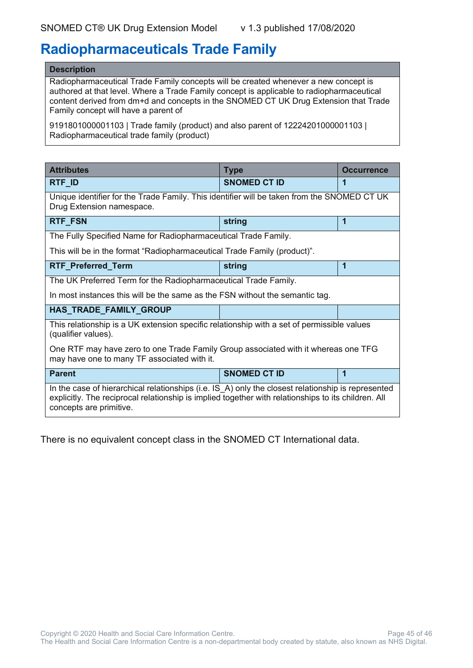#### <span id="page-44-0"></span>**Radiopharmaceuticals Trade Family**

#### **Description**

Radiopharmaceutical Trade Family concepts will be created whenever a new concept is authored at that level. Where a Trade Family concept is applicable to radiopharmaceutical content derived from dm+d and concepts in the SNOMED CT UK Drug Extension that Trade Family concept will have a parent of

9191801000001103 | Trade family (product) and also parent of 12224201000001103 | Radiopharmaceutical trade family (product)

| <b>Attributes</b>                                                                                                                                                                                                                    | <b>Type</b>         | <b>Occurrence</b> |
|--------------------------------------------------------------------------------------------------------------------------------------------------------------------------------------------------------------------------------------|---------------------|-------------------|
| RTF_ID                                                                                                                                                                                                                               | <b>SNOMED CT ID</b> | 1                 |
| Unique identifier for the Trade Family. This identifier will be taken from the SNOMED CT UK<br>Drug Extension namespace.                                                                                                             |                     |                   |
| RTF_FSN                                                                                                                                                                                                                              | string              | 1                 |
| The Fully Specified Name for Radiopharmaceutical Trade Family.                                                                                                                                                                       |                     |                   |
| This will be in the format "Radiopharmaceutical Trade Family (product)".                                                                                                                                                             |                     |                   |
| RTF_Preferred_Term                                                                                                                                                                                                                   | string              | 1                 |
| The UK Preferred Term for the Radiopharmaceutical Trade Family.                                                                                                                                                                      |                     |                   |
| In most instances this will be the same as the FSN without the semantic tag.                                                                                                                                                         |                     |                   |
| HAS_TRADE_FAMILY_GROUP                                                                                                                                                                                                               |                     |                   |
| This relationship is a UK extension specific relationship with a set of permissible values<br>(qualifier values).                                                                                                                    |                     |                   |
| One RTF may have zero to one Trade Family Group associated with it whereas one TFG<br>may have one to many TF associated with it.                                                                                                    |                     |                   |
| <b>Parent</b>                                                                                                                                                                                                                        | <b>SNOMED CT ID</b> | 1                 |
| In the case of hierarchical relationships (i.e. IS_A) only the closest relationship is represented<br>explicitly. The reciprocal relationship is implied together with relationships to its children. All<br>concepts are primitive. |                     |                   |

There is no equivalent concept class in the SNOMED CT International data.